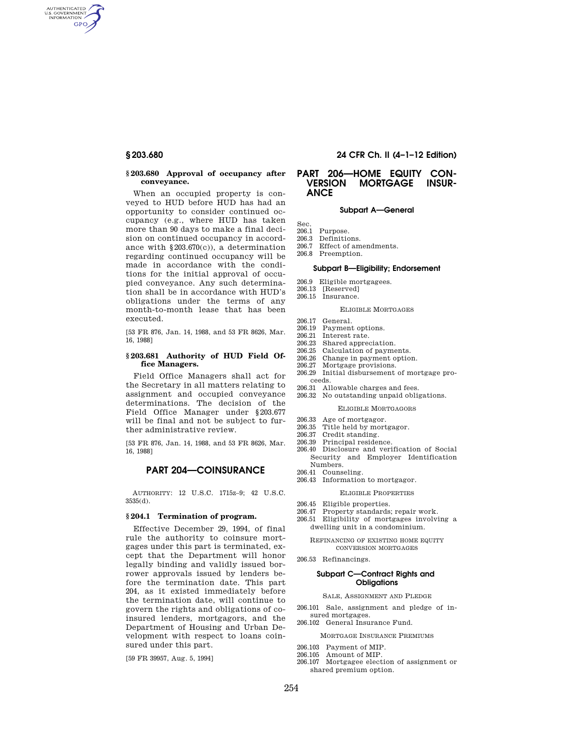AUTHENTICATED<br>U.S. GOVERNMENT<br>INFORMATION **GPO** 

#### **§ 203.680 Approval of occupancy after conveyance.**

When an occupied property is conveyed to HUD before HUD has had an opportunity to consider continued occupancy (e.g., where HUD has taken more than 90 days to make a final decision on continued occupancy in accordance with §203.670(c)), a determination regarding continued occupancy will be made in accordance with the conditions for the initial approval of occupied conveyance. Any such determination shall be in accordance with HUD's obligations under the terms of any month-to-month lease that has been executed.

[53 FR 876, Jan. 14, 1988, and 53 FR 8626, Mar. 16, 1988]

# **§ 203.681 Authority of HUD Field Office Managers.**

Field Office Managers shall act for the Secretary in all matters relating to assignment and occupied conveyance determinations. The decision of the Field Office Manager under §203.677 will be final and not be subject to further administrative review.

[53 FR 876, Jan. 14, 1988, and 53 FR 8626, Mar. 16, 1988]

# **PART 204—COINSURANCE**

AUTHORITY: 12 U.S.C. 1715z–9; 42 U.S.C. 3535(d).

# **§ 204.1 Termination of program.**

Effective December 29, 1994, of final rule the authority to coinsure mortgages under this part is terminated, except that the Department will honor legally binding and validly issued borrower approvals issued by lenders before the termination date. This part 204, as it existed immediately before the termination date, will continue to govern the rights and obligations of coinsured lenders, mortgagors, and the Department of Housing and Urban Development with respect to loans coinsured under this part.

[59 FR 39957, Aug. 5, 1994]

#### **§ 203.680 24 CFR Ch. II (4–1–12 Edition)**

# **PART 206—HOME EQUITY CON-MORTGAGE ANCE**

# **Subpart A—General**

- Sec.<br>206.1
- Purpose.
- 206.3 Definitions.<br>206.7 Effect of am Effect of amendments.
- 206.8 Preemption.

# **Subpart B—Eligibility; Endorsement**

- 206.9 Eligible mortgagees.
- 206.13 [Reserved]
- 206.15 Insurance.

#### ELIGIBLE MORTGAGES

- 206.17 General.
- 206.19 Payment options.
- 206.21 Interest rate.<br>206.23 Shared appree
- Shared appreciation. 206.25 Calculation of payments.
- 206.26 Change in payment option.
- 206.27 Mortgage provisions.
- 206.29 Initial disbursement of mortgage proceeds.
- 206.31 Allowable charges and fees.
- 206.32 No outstanding unpaid obligations.
	- ELIGIBLE MORTGAGORS
- 206.33 Age of mortgagor.
- 206.35 Title held by mortgagor.<br>206.37 Credit standing.
- Credit standing.
- 206.39 Principal residence.
- 206.40 Disclosure and verification of Social Security and Employer Identification Numbers.
- 206.41 Counseling.
- 206.43 Information to mortgagor.

# ELIGIBLE PROPERTIES

- 206.45 Eligible properties.
- 206.47 Property standards; repair work.
- 206.51 Eligibility of mortgages involving a dwelling unit in a condominium.

#### REFINANCING OF EXISTING HOME EQUITY CONVERSION MORTGAGES

206.53 Refinancings

# **Subpart C—Contract Rights and Obligations**

#### SALE, ASSIGNMENT AND PLEDGE

- 206.101 Sale, assignment and pledge of insured mortgages.
- 206.102 General Insurance Fund.

#### MORTGAGE INSURANCE PREMIUMS

- 206.103 Payment of MIP.
- 206.105 Amount of MIP.
- 206.107 Mortgagee election of assignment or shared premium option.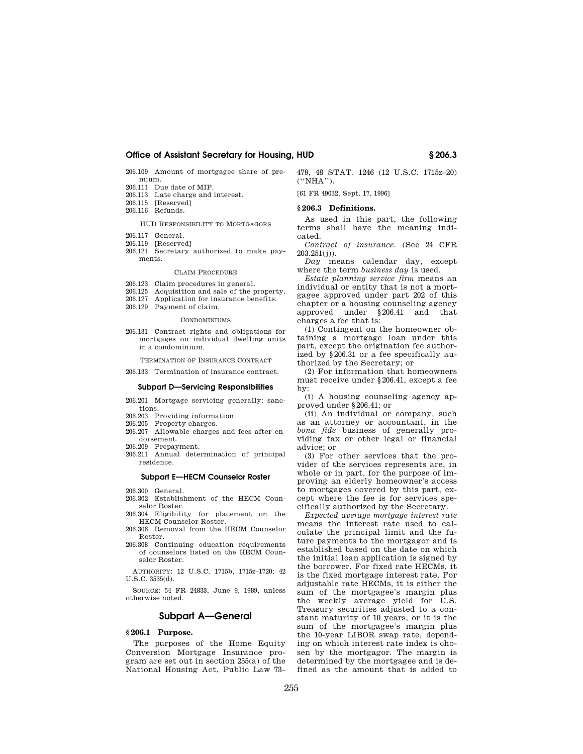206.109 Amount of mortgagee share of premium.

- 206.111 Due date of MIP.
- 206.113 Late charge and interest.<br>206.115 [Reserved]
- [Reserved]
- 206.116 Refunds.

HUD RESPONSIBILITY TO MORTGAGORS

- 206.117 General.
- 206.119 [Reserved]
- 206.121 Secretary authorized to make payments.

#### CLAIM PROCEDURE

- 206.123 Claim procedures in general.<br>206.125 Acquisition and sale of the r
- Acquisition and sale of the property.
- 206.127 Application for insurance benefits.
- 206.129 Payment of claim.

#### **CONDOMINIUMS**

206.131 Contract rights and obligations for mortgages on individual dwelling units in a condominium.

TERMINATION OF INSURANCE CONTRACT

206.133 Termination of insurance contract.

#### **Subpart D—Servicing Responsibilities**

- 206.201 Mortgage servicing generally; sanctions.
- 206.203 Providing information.
- 206.205 Property charges.
- 206.207 Allowable charges and fees after endorsement.
- 206.209 Prepayment.
- 206.211 Annual determination of principal residence.

#### **Subpart E—HECM Counselor Roster**

- 206.300 General.
- 206.302 Establishment of the HECM Counselor Roster.
- 206.304 Eligibility for placement on the HECM Counselor Roster.
- 206.306 Removal from the HECM Counselor Roster.
- 206.308 Continuing education requirements of counselors listed on the HECM Counselor Roster.

AUTHORITY: 12 U.S.C. 1715b, 1715z–1720; 42 U.S.C. 3535(d).

SOURCE: 54 FR 24833, June 9, 1989, unless otherwise noted.

# **Subpart A—General**

# **§ 206.1 Purpose.**

The purposes of the Home Equity Conversion Mortgage Insurance program are set out in section 255(a) of the National Housing Act, Public Law 73– 479, 48 STAT. 1246 (12 U.S.C. 1715z–20) (''NHA'').

[61 FR 49032, Sept. 17, 1996]

# **§ 206.3 Definitions.**

As used in this part, the following terms shall have the meaning indicated.

*Contract of insurance.* (See 24 CFR 203.251(j)).

*Day* means calendar day, except where the term *business day* is used.

*Estate planning service firm* means an individual or entity that is not a mortgagee approved under part 202 of this chapter or a housing counseling agency approved under §206.41 and that charges a fee that is:

(1) Contingent on the homeowner obtaining a mortgage loan under this part, except the origination fee authorized by §206.31 or a fee specifically authorized by the Secretary; or

(2) For information that homeowners must receive under §206.41, except a fee by:

(i) A housing counseling agency approved under §206.41; or

(ii) An individual or company, such as an attorney or accountant, in the *bona fide* business of generally providing tax or other legal or financial advice; or

(3) For other services that the provider of the services represents are, in whole or in part, for the purpose of improving an elderly homeowner's access to mortgages covered by this part, except where the fee is for services specifically authorized by the Secretary.

*Expected average mortgage interest rate*  means the interest rate used to calculate the principal limit and the future payments to the mortgagor and is established based on the date on which the initial loan application is signed by the borrower. For fixed rate HECMs, it is the fixed mortgage interest rate. For adjustable rate HECMs, it is either the sum of the mortgagee's margin plus the weekly average yield for U.S. Treasury securities adjusted to a constant maturity of 10 years, or it is the sum of the mortgagee's margin plus the 10-year LIBOR swap rate, depending on which interest rate index is chosen by the mortgagor. The margin is determined by the mortgagee and is defined as the amount that is added to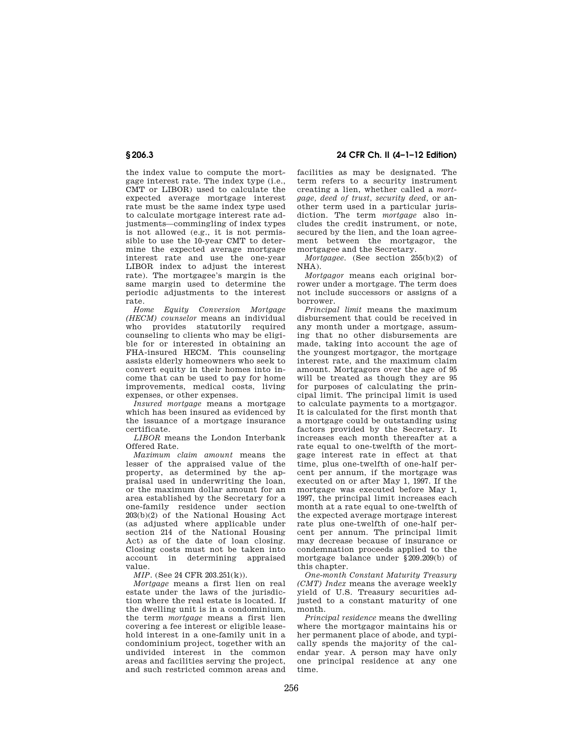# **§ 206.3 24 CFR Ch. II (4–1–12 Edition)**

the index value to compute the mortgage interest rate. The index type (i.e., CMT or LIBOR) used to calculate the expected average mortgage interest rate must be the same index type used to calculate mortgage interest rate adjustments—commingling of index types is not allowed (e.g., it is not permissible to use the 10-year CMT to determine the expected average mortgage interest rate and use the one-year LIBOR index to adjust the interest rate). The mortgagee's margin is the same margin used to determine the periodic adjustments to the interest rate.

*Home Equity Conversion Mortgage (HECM) counselor* means an individual who provides statutorily required counseling to clients who may be eligible for or interested in obtaining an FHA-insured HECM. This counseling assists elderly homeowners who seek to convert equity in their homes into income that can be used to pay for home improvements, medical costs, living expenses, or other expenses.

*Insured mortgage* means a mortgage which has been insured as evidenced by the issuance of a mortgage insurance certificate.

*LIBOR* means the London Interbank Offered Rate.

*Maximum claim amount* means the lesser of the appraised value of the property, as determined by the appraisal used in underwriting the loan, or the maximum dollar amount for an area established by the Secretary for a one-family residence under section 203(b)(2) of the National Housing Act (as adjusted where applicable under section 214 of the National Housing Act) as of the date of loan closing. Closing costs must not be taken into account in determining appraised value.

*MIP.* (See 24 CFR 203.251(k)).

*Mortgage* means a first lien on real estate under the laws of the jurisdiction where the real estate is located. If the dwelling unit is in a condominium, the term *mortgage* means a first lien covering a fee interest or eligible leasehold interest in a one-family unit in a condominium project, together with an undivided interest in the common areas and facilities serving the project, and such restricted common areas and

facilities as may be designated. The term refers to a security instrument creating a lien, whether called a *mortgage, deed of trust, security deed,* or another term used in a particular jurisdiction. The term *mortgage* also includes the credit instrument, or note, secured by the lien, and the loan agreement between the mortgagor, the mortgagee and the Secretary.

*Mortgagee.* (See section 255(b)(2) of  $NHA$ ).

*Mortgagor* means each original borrower under a mortgage. The term does not include successors or assigns of a borrower.

*Principal limit* means the maximum disbursement that could be received in any month under a mortgage, assuming that no other disbursements are made, taking into account the age of the youngest mortgagor, the mortgage interest rate, and the maximum claim amount. Mortgagors over the age of 95 will be treated as though they are 95 for purposes of calculating the principal limit. The principal limit is used to calculate payments to a mortgagor. It is calculated for the first month that a mortgage could be outstanding using factors provided by the Secretary. It increases each month thereafter at a rate equal to one-twelfth of the mortgage interest rate in effect at that time, plus one-twelfth of one-half percent per annum, if the mortgage was executed on or after May 1, 1997. If the mortgage was executed before May 1, 1997, the principal limit increases each month at a rate equal to one-twelfth of the expected average mortgage interest rate plus one-twelfth of one-half percent per annum. The principal limit may decrease because of insurance or condemnation proceeds applied to the mortgage balance under §209.209(b) of this chapter.

*One-month Constant Maturity Treasury (CMT) Index* means the average weekly yield of U.S. Treasury securities adjusted to a constant maturity of one month.

*Principal residence* means the dwelling where the mortgagor maintains his or her permanent place of abode, and typically spends the majority of the calendar year. A person may have only one principal residence at any one time.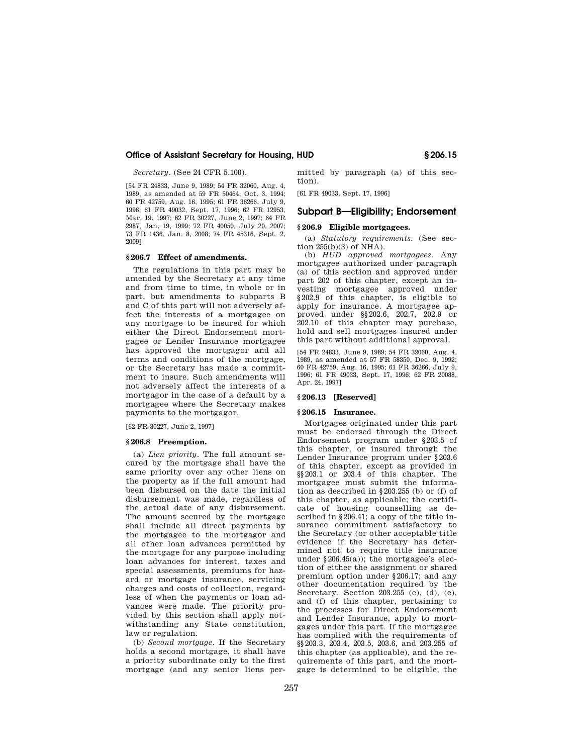*Secretary.* (See 24 CFR 5.100).

[54 FR 24833, June 9, 1989; 54 FR 32060, Aug. 4, 1989, as amended at 59 FR 50464, Oct. 3, 1994; 60 FR 42759, Aug. 16, 1995; 61 FR 36266, July 9, 1996; 61 FR 49032, Sept. 17, 1996; 62 FR 12953, Mar. 19, 1997; 62 FR 30227, June 2, 1997; 64 FR 2987, Jan. 19, 1999; 72 FR 40050, July 20, 2007; 73 FR 1436, Jan. 8, 2008; 74 FR 45316, Sept. 2, 2009]

#### **§ 206.7 Effect of amendments.**

The regulations in this part may be amended by the Secretary at any time and from time to time, in whole or in part, but amendments to subparts B and C of this part will not adversely affect the interests of a mortgagee on any mortgage to be insured for which either the Direct Endorsement mortgagee or Lender Insurance mortgagee has approved the mortgagor and all terms and conditions of the mortgage, or the Secretary has made a commitment to insure. Such amendments will not adversely affect the interests of a mortgagor in the case of a default by a mortgagee where the Secretary makes payments to the mortgagor.

[62 FR 30227, June 2, 1997]

#### **§ 206.8 Preemption.**

(a) *Lien priority.* The full amount secured by the mortgage shall have the same priority over any other liens on the property as if the full amount had been disbursed on the date the initial disbursement was made, regardless of the actual date of any disbursement. The amount secured by the mortgage shall include all direct payments by the mortgagee to the mortgagor and all other loan advances permitted by the mortgage for any purpose including loan advances for interest, taxes and special assessments, premiums for hazard or mortgage insurance, servicing charges and costs of collection, regardless of when the payments or loan advances were made. The priority provided by this section shall apply notwithstanding any State constitution, law or regulation.

(b) *Second mortgage.* If the Secretary holds a second mortgage, it shall have a priority subordinate only to the first mortgage (and any senior liens permitted by paragraph (a) of this section).

[61 FR 49033, Sept. 17, 1996]

# **Subpart B—Eligibility; Endorsement**

#### **§ 206.9 Eligible mortgagees.**

(a) *Statutory requirements.* (See sec- $\tan 255(b)(3)$  of NHA).

(b) *HUD approved mortgagees.* Any mortgagee authorized under paragraph (a) of this section and approved under part 202 of this chapter, except an investing mortgagee approved under §202.9 of this chapter, is eligible to apply for insurance. A mortgagee approved under §§202.6, 202.7, 202.9 or 202.10 of this chapter may purchase, hold and sell mortgages insured under this part without additional approval.

[54 FR 24833, June 9, 1989; 54 FR 32060, Aug. 4, 1989, as amended at 57 FR 58350, Dec. 9, 1992; 60 FR 42759, Aug. 16, 1995; 61 FR 36266, July 9, 1996; 61 FR 49033, Sept. 17, 1996; 62 FR 20088, Apr. 24, 1997]

#### **§ 206.13 [Reserved]**

#### **§ 206.15 Insurance.**

Mortgages originated under this part must be endorsed through the Direct Endorsement program under §203.5 of this chapter, or insured through the Lender Insurance program under §203.6 of this chapter, except as provided in §§203.1 or 203.4 of this chapter. The mortgagee must submit the information as described in  $\S 203.255$  (b) or (f) of this chapter, as applicable; the certificate of housing counselling as described in §206.41; a copy of the title insurance commitment satisfactory to the Secretary (or other acceptable title evidence if the Secretary has determined not to require title insurance under  $§206.45(a)$ ; the mortgagee's election of either the assignment or shared premium option under §206.17; and any other documentation required by the Secretary. Section 203.255 (c), (d), (e), and (f) of this chapter, pertaining to the processes for Direct Endorsement and Lender Insurance, apply to mortgages under this part. If the mortgagee has complied with the requirements of §§203.3, 203.4, 203.5, 203.6, and 203.255 of this chapter (as applicable), and the requirements of this part, and the mortgage is determined to be eligible, the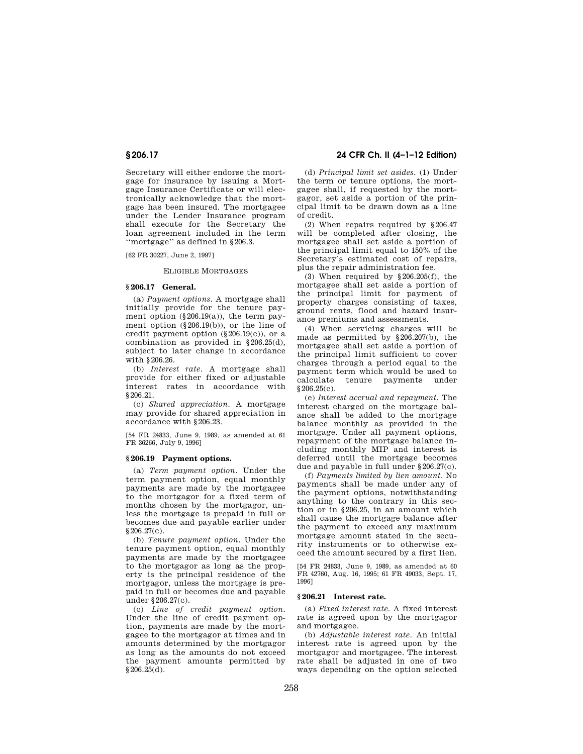Secretary will either endorse the mortgage for insurance by issuing a Mortgage Insurance Certificate or will electronically acknowledge that the mortgage has been insured. The mortgagee under the Lender Insurance program shall execute for the Secretary the loan agreement included in the term ''mortgage'' as defined in §206.3.

[62 FR 30227, June 2, 1997]

#### ELIGIBLE MORTGAGES

# **§ 206.17 General.**

(a) *Payment options.* A mortgage shall initially provide for the tenure payment option  $(\S 206.19(a))$ , the term payment option (§206.19(b)), or the line of credit payment option (§206.19(c)), or a combination as provided in §206.25(d), subject to later change in accordance with §206.26.

(b) *Interest rate.* A mortgage shall provide for either fixed or adjustable interest rates in accordance with §206.21.

(c) *Shared appreciation.* A mortgage may provide for shared appreciation in accordance with §206.23.

[54 FR 24833, June 9, 1989, as amended at 61 FR 36266, July 9, 1996]

# **§ 206.19 Payment options.**

(a) *Term payment option.* Under the term payment option, equal monthly payments are made by the mortgagee to the mortgagor for a fixed term of months chosen by the mortgagor, unless the mortgage is prepaid in full or becomes due and payable earlier under §206.27(c).

(b) *Tenure payment option.* Under the tenure payment option, equal monthly payments are made by the mortgagee to the mortgagor as long as the property is the principal residence of the mortgagor, unless the mortgage is prepaid in full or becomes due and payable under §206.27(c).

(c) *Line of credit payment option.*  Under the line of credit payment option, payments are made by the mortgagee to the mortgagor at times and in amounts determined by the mortgagor as long as the amounts do not exceed the payment amounts permitted by  $$206,\overline{25}(\overline{d})$ .

# **§ 206.17 24 CFR Ch. II (4–1–12 Edition)**

(d) *Principal limit set asides.* (1) Under the term or tenure options, the mortgagee shall, if requested by the mortgagor, set aside a portion of the principal limit to be drawn down as a line of credit.

(2) When repairs required by §206.47 will be completed after closing, the mortgagee shall set aside a portion of the principal limit equal to 150% of the Secretary's estimated cost of repairs, plus the repair administration fee.

(3) When required by §206.205(f), the mortgagee shall set aside a portion of the principal limit for payment of property charges consisting of taxes, ground rents, flood and hazard insurance premiums and assessments.

(4) When servicing charges will be made as permitted by §206.207(b), the mortgagee shall set aside a portion of the principal limit sufficient to cover charges through a period equal to the payment term which would be used to tenure payments under §206.25(c).

(e) *Interest accrual and repayment.* The interest charged on the mortgage balance shall be added to the mortgage balance monthly as provided in the mortgage. Under all payment options, repayment of the mortgage balance including monthly MIP and interest is deferred until the mortgage becomes due and payable in full under §206.27(c).

(f) *Payments limited by lien amount.* No payments shall be made under any of the payment options, notwithstanding anything to the contrary in this section or in §206.25, in an amount which shall cause the mortgage balance after the payment to exceed any maximum mortgage amount stated in the security instruments or to otherwise exceed the amount secured by a first lien.

[54 FR 24833, June 9, 1989, as amended at 60 FR 42760, Aug. 16, 1995; 61 FR 49033, Sept. 17, 1996]

# **§ 206.21 Interest rate.**

(a) *Fixed interest rate.* A fixed interest rate is agreed upon by the mortgagor and mortgagee.

(b) *Adjustable interest rate.* An initial interest rate is agreed upon by the mortgagor and mortgagee. The interest rate shall be adjusted in one of two ways depending on the option selected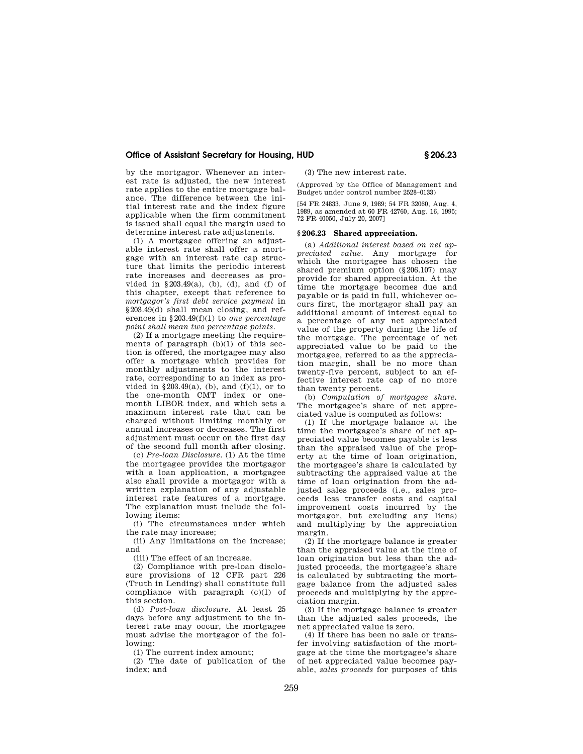by the mortgagor. Whenever an interest rate is adjusted, the new interest rate applies to the entire mortgage balance. The difference between the initial interest rate and the index figure applicable when the firm commitment is issued shall equal the margin used to determine interest rate adjustments.

(1) A mortgagee offering an adjustable interest rate shall offer a mortgage with an interest rate cap structure that limits the periodic interest rate increases and decreases as provided in  $\S 203.49(a)$ , (b), (d), and (f) of this chapter, except that reference to *mortgagor's first debt service payment* in §203.49(d) shall mean closing, and references in §203.49(f)(1) to *one percentage point shall mean two percentage points.* 

 $(2)$  If a mortgage meeting the requirements of paragraph  $(b)(1)$  of this section is offered, the mortgagee may also offer a mortgage which provides for monthly adjustments to the interest rate, corresponding to an index as provided in  $\S 203.49(a)$ , (b), and (f)(1), or to the one-month CMT index or onemonth LIBOR index, and which sets a maximum interest rate that can be charged without limiting monthly or annual increases or decreases. The first adjustment must occur on the first day of the second full month after closing.

(c) *Pre-loan Disclosure.* (1) At the time the mortgagee provides the mortgagor with a loan application, a mortgagee also shall provide a mortgagor with a written explanation of any adjustable interest rate features of a mortgage. The explanation must include the following items:

(i) The circumstances under which the rate may increase;

(ii) Any limitations on the increase; and

(iii) The effect of an increase.

(2) Compliance with pre-loan disclosure provisions of 12 CFR part 226 (Truth in Lending) shall constitute full compliance with paragraph (c)(1) of this section.

(d) *Post-loan disclosure.* At least 25 days before any adjustment to the interest rate may occur, the mortgagee must advise the mortgagor of the following:

(1) The current index amount;

(2) The date of publication of the index; and

(3) The new interest rate.

(Approved by the Office of Management and Budget under control number 2528–0133)

[54 FR 24833, June 9, 1989; 54 FR 32060, Aug. 4, 1989, as amended at 60 FR 42760, Aug. 16, 1995; 72 FR 40050, July 20, 2007]

# **§ 206.23 Shared appreciation.**

(a) *Additional interest based on net appreciated value.* Any mortgage for which the mortgagee has chosen the shared premium option (§206.107) may provide for shared appreciation. At the time the mortgage becomes due and payable or is paid in full, whichever occurs first, the mortgagor shall pay an additional amount of interest equal to a percentage of any net appreciated value of the property during the life of the mortgage. The percentage of net appreciated value to be paid to the mortgagee, referred to as the appreciation margin, shall be no more than twenty-five percent, subject to an effective interest rate cap of no more than twenty percent.

(b) *Computation of mortgagee share.*  The mortgagee's share of net appreciated value is computed as follows:

(1) If the mortgage balance at the time the mortgagee's share of net appreciated value becomes payable is less than the appraised value of the property at the time of loan origination, the mortgagee's share is calculated by subtracting the appraised value at the time of loan origination from the adjusted sales proceeds (i.e., sales proceeds less transfer costs and capital improvement costs incurred by the mortgagor, but excluding any liens) and multiplying by the appreciation margin.

(2) If the mortgage balance is greater than the appraised value at the time of loan origination but less than the adjusted proceeds, the mortgagee's share is calculated by subtracting the mortgage balance from the adjusted sales proceeds and multiplying by the appreciation margin.

(3) If the mortgage balance is greater than the adjusted sales proceeds, the net appreciated value is zero.

(4) If there has been no sale or transfer involving satisfaction of the mortgage at the time the mortgagee's share of net appreciated value becomes payable, *sales proceeds* for purposes of this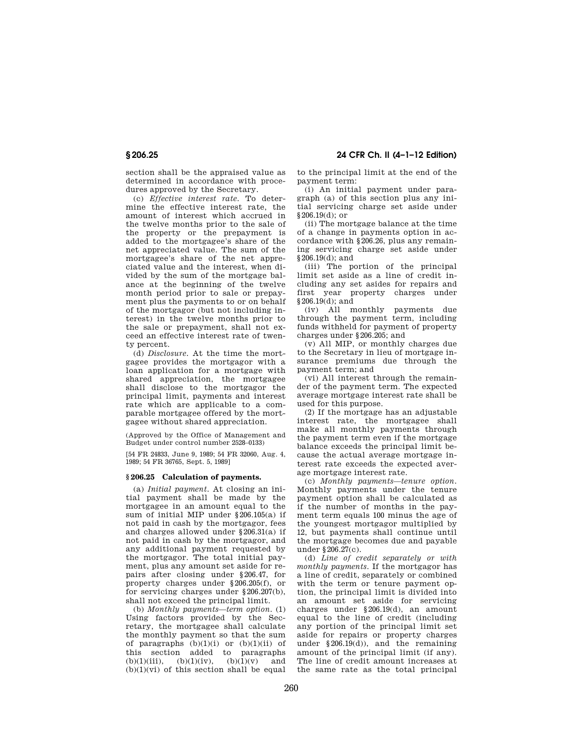section shall be the appraised value as determined in accordance with procedures approved by the Secretary.

(c) *Effective interest rate.* To determine the effective interest rate, the amount of interest which accrued in the twelve months prior to the sale of the property or the prepayment is added to the mortgagee's share of the net appreciated value. The sum of the mortgagee's share of the net appreciated value and the interest, when divided by the sum of the mortgage balance at the beginning of the twelve month period prior to sale or prepayment plus the payments to or on behalf of the mortgagor (but not including interest) in the twelve months prior to the sale or prepayment, shall not exceed an effective interest rate of twenty percent.

(d) *Disclosure.* At the time the mortgagee provides the mortgagor with a loan application for a mortgage with shared appreciation, the mortgagee shall disclose to the mortgagor the principal limit, payments and interest rate which are applicable to a comparable mortgagee offered by the mortgagee without shared appreciation.

(Approved by the Office of Management and Budget under control number 2528–0133)

[54 FR 24833, June 9, 1989; 54 FR 32060, Aug. 4, 1989; 54 FR 36765, Sept. 5, 1989]

# **§ 206.25 Calculation of payments.**

(a) *Initial payment.* At closing an initial payment shall be made by the mortgagee in an amount equal to the sum of initial MIP under §206.105(a) if not paid in cash by the mortgagor, fees and charges allowed under §206.31(a) if not paid in cash by the mortgagor, and any additional payment requested by the mortgagor. The total initial payment, plus any amount set aside for repairs after closing under §206.47, for property charges under §206.205(f), or for servicing charges under §206.207(b), shall not exceed the principal limit.

(b) *Monthly payments—term option.* (1) Using factors provided by the Secretary, the mortgagee shall calculate the monthly payment so that the sum of paragraphs  $(b)(1)(i)$  or  $(b)(1)(ii)$  of this section added to paragraphs<br>(b)(1)(iii), (b)(1)(iv), (b)(1)(v) and (b)(1)(iii), (b)(1)(iv), (b)(1)(v) and  $(b)(1)(vi)$  of this section shall be equal

**§ 206.25 24 CFR Ch. II (4–1–12 Edition)** 

to the principal limit at the end of the payment term:

(i) An initial payment under paragraph (a) of this section plus any initial servicing charge set aside under §206.19(d); or

(ii) The mortgage balance at the time of a change in payments option in accordance with §206.26, plus any remaining servicing charge set aside under §206.19(d); and

(iii) The portion of the principal limit set aside as a line of credit including any set asides for repairs and first year property charges under §206.19(d); and

(iv) All monthly payments due through the payment term, including funds withheld for payment of property charges under §206.205; and

(v) All MIP, or monthly charges due to the Secretary in lieu of mortgage insurance premiums due through the payment term; and

(vi) All interest through the remainder of the payment term. The expected average mortgage interest rate shall be used for this purpose.

(2) If the mortgage has an adjustable interest rate, the mortgagee shall make all monthly payments through the payment term even if the mortgage balance exceeds the principal limit because the actual average mortgage interest rate exceeds the expected average mortgage interest rate.

(c) *Monthly payments—tenure option.*  Monthly payments under the tenure payment option shall be calculated as if the number of months in the payment term equals 100 minus the age of the youngest mortgagor multiplied by 12, but payments shall continue until the mortgage becomes due and payable under §206.27(c).

(d) *Line of credit separately or with monthly payments.* If the mortgagor has a line of credit, separately or combined with the term or tenure payment option, the principal limit is divided into an amount set aside for servicing charges under §206.19(d), an amount equal to the line of credit (including any portion of the principal limit set aside for repairs or property charges under  $§206.19(d)$ , and the remaining amount of the principal limit (if any). The line of credit amount increases at the same rate as the total principal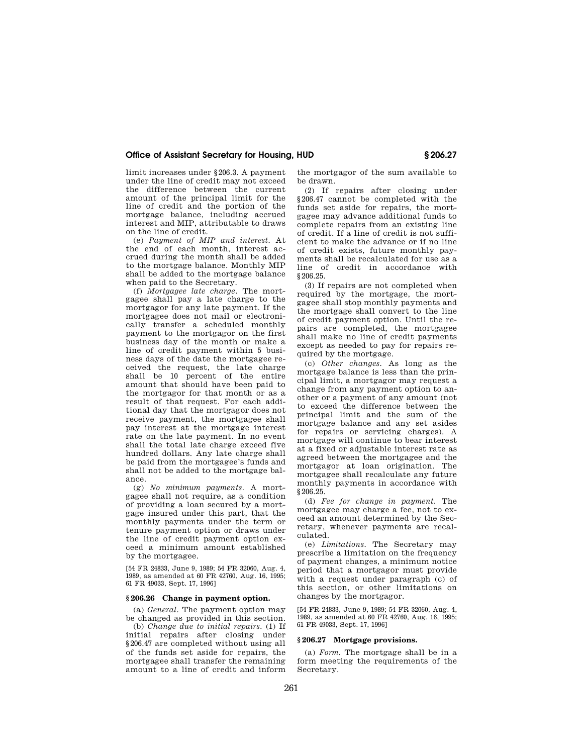limit increases under §206.3. A payment under the line of credit may not exceed the difference between the current amount of the principal limit for the line of credit and the portion of the mortgage balance, including accrued interest and MIP, attributable to draws on the line of credit.

(e) *Payment of MIP and interest.* At the end of each month, interest accrued during the month shall be added to the mortgage balance. Monthly MIP shall be added to the mortgage balance when paid to the Secretary.

(f) *Mortgagee late charge.* The mortgagee shall pay a late charge to the mortgagor for any late payment. If the mortgagee does not mail or electronically transfer a scheduled monthly payment to the mortgagor on the first business day of the month or make a line of credit payment within 5 business days of the date the mortgagee received the request, the late charge shall be 10 percent of the entire amount that should have been paid to the mortgagor for that month or as a result of that request. For each additional day that the mortgagor does not receive payment, the mortgagee shall pay interest at the mortgage interest rate on the late payment. In no event shall the total late charge exceed five hundred dollars. Any late charge shall be paid from the mortgagee's funds and shall not be added to the mortgage balance.

(g) *No minimum payments.* A mortgagee shall not require, as a condition of providing a loan secured by a mortgage insured under this part, that the monthly payments under the term or tenure payment option or draws under the line of credit payment option exceed a minimum amount established by the mortgagee.

[54 FR 24833, June 9, 1989; 54 FR 32060, Aug. 4, 1989, as amended at 60 FR 42760, Aug. 16, 1995; 61 FR 49033, Sept. 17, 1996]

# **§ 206.26 Change in payment option.**

(a) *General.* The payment option may be changed as provided in this section.

(b) *Change due to initial repairs.* (1) If initial repairs after closing under §206.47 are completed without using all of the funds set aside for repairs, the mortgagee shall transfer the remaining amount to a line of credit and inform the mortgagor of the sum available to be drawn.

(2) If repairs after closing under §206.47 cannot be completed with the funds set aside for repairs, the mortgagee may advance additional funds to complete repairs from an existing line of credit. If a line of credit is not sufficient to make the advance or if no line of credit exists, future monthly payments shall be recalculated for use as a line of credit in accordance with §206.25.

(3) If repairs are not completed when required by the mortgage, the mortgagee shall stop monthly payments and the mortgage shall convert to the line of credit payment option. Until the repairs are completed, the mortgagee shall make no line of credit payments except as needed to pay for repairs required by the mortgage.

(c) *Other changes.* As long as the mortgage balance is less than the principal limit, a mortgagor may request a change from any payment option to another or a payment of any amount (not to exceed the difference between the principal limit and the sum of the mortgage balance and any set asides for repairs or servicing charges). A mortgage will continue to bear interest at a fixed or adjustable interest rate as agreed between the mortgagee and the mortgagor at loan origination. The mortgagee shall recalculate any future monthly payments in accordance with §206.25.

(d) *Fee for change in payment.* The mortgagee may charge a fee, not to exceed an amount determined by the Secretary, whenever payments are recalculated.

(e) *Limitations.* The Secretary may prescribe a limitation on the frequency of payment changes, a minimum notice period that a mortgagor must provide with a request under paragraph (c) of this section, or other limitations on changes by the mortgagor.

[54 FR 24833, June 9, 1989; 54 FR 32060, Aug. 4, 1989, as amended at 60 FR 42760, Aug. 16, 1995; 61 FR 49033, Sept. 17, 1996]

#### **§ 206.27 Mortgage provisions.**

(a) *Form.* The mortgage shall be in a form meeting the requirements of the Secretary.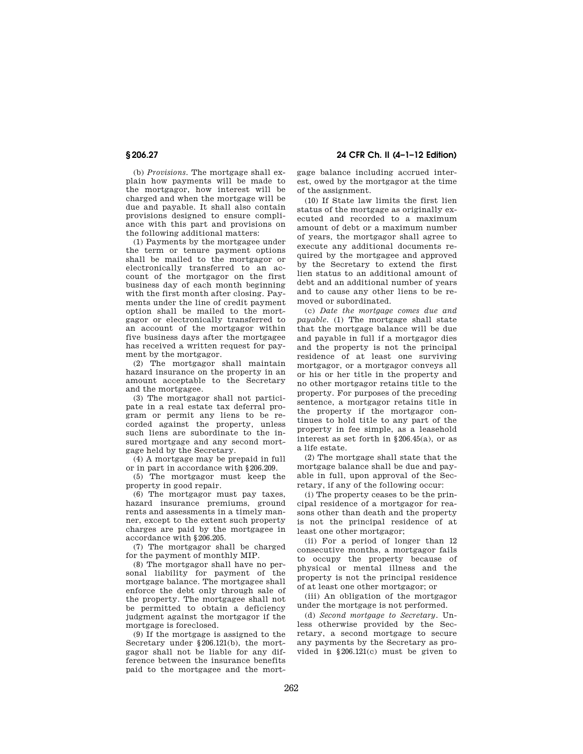**§ 206.27 24 CFR Ch. II (4–1–12 Edition)** 

(b) *Provisions.* The mortgage shall explain how payments will be made to the mortgagor, how interest will be charged and when the mortgage will be due and payable. It shall also contain provisions designed to ensure compliance with this part and provisions on the following additional matters:

(1) Payments by the mortgagee under the term or tenure payment options shall be mailed to the mortgagor or electronically transferred to an account of the mortgagor on the first business day of each month beginning with the first month after closing. Payments under the line of credit payment option shall be mailed to the mortgagor or electronically transferred to an account of the mortgagor within five business days after the mortgagee has received a written request for payment by the mortgagor.

(2) The mortgagor shall maintain hazard insurance on the property in an amount acceptable to the Secretary and the mortgagee.

(3) The mortgagor shall not participate in a real estate tax deferral program or permit any liens to be recorded against the property, unless such liens are subordinate to the insured mortgage and any second mortgage held by the Secretary.

(4) A mortgage may be prepaid in full or in part in accordance with §206.209.

(5) The mortgagor must keep the property in good repair.

(6) The mortgagor must pay taxes, hazard insurance premiums, ground rents and assessments in a timely manner, except to the extent such property charges are paid by the mortgagee in accordance with §206.205.

(7) The mortgagor shall be charged for the payment of monthly MIP.

(8) The mortgagor shall have no personal liability for payment of the mortgage balance. The mortgagee shall enforce the debt only through sale of the property. The mortgagee shall not be permitted to obtain a deficiency judgment against the mortgagor if the mortgage is foreclosed.

(9) If the mortgage is assigned to the Secretary under §206.121(b), the mortgagor shall not be liable for any difference between the insurance benefits paid to the mortgagee and the mortgage balance including accrued interest, owed by the mortgagor at the time of the assignment.

(10) If State law limits the first lien status of the mortgage as originally executed and recorded to a maximum amount of debt or a maximum number of years, the mortgagor shall agree to execute any additional documents required by the mortgagee and approved by the Secretary to extend the first lien status to an additional amount of debt and an additional number of years and to cause any other liens to be removed or subordinated.

(c) *Date the mortgage comes due and payable.* (1) The mortgage shall state that the mortgage balance will be due and payable in full if a mortgagor dies and the property is not the principal residence of at least one surviving mortgagor, or a mortgagor conveys all or his or her title in the property and no other mortgagor retains title to the property. For purposes of the preceding sentence, a mortgagor retains title in the property if the mortgagor continues to hold title to any part of the property in fee simple, as a leasehold interest as set forth in §206.45(a), or as a life estate.

(2) The mortgage shall state that the mortgage balance shall be due and payable in full, upon approval of the Secretary, if any of the following occur:

(i) The property ceases to be the principal residence of a mortgagor for reasons other than death and the property is not the principal residence of at least one other mortgagor;

(ii) For a period of longer than 12 consecutive months, a mortgagor fails to occupy the property because of physical or mental illness and the property is not the principal residence of at least one other mortgagor; or

(iii) An obligation of the mortgagor under the mortgage is not performed.

(d) *Second mortgage to Secretary.* Unless otherwise provided by the Secretary, a second mortgage to secure any payments by the Secretary as provided in §206.121(c) must be given to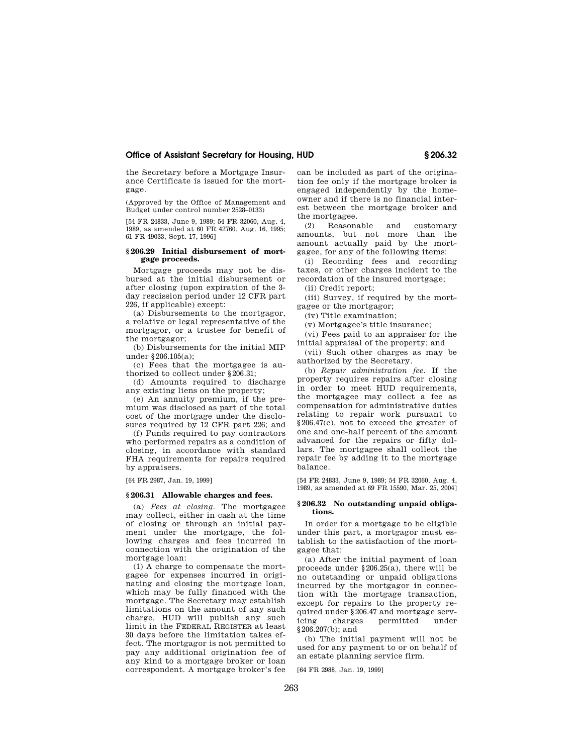the Secretary before a Mortgage Insurance Certificate is issued for the mortgage.

(Approved by the Office of Management and Budget under control number 2528–0133)

[54 FR 24833, June 9, 1989; 54 FR 32060, Aug. 4, 1989, as amended at 60 FR 42760, Aug. 16, 1995; 61 FR 49033, Sept. 17, 1996]

# **§ 206.29 Initial disbursement of mortgage proceeds.**

Mortgage proceeds may not be disbursed at the initial disbursement or after closing (upon expiration of the 3 day rescission period under 12 CFR part 226, if applicable) except:

(a) Disbursements to the mortgagor, a relative or legal representative of the mortgagor, or a trustee for benefit of the mortgagor;

(b) Disbursements for the initial MIP under §206.105(a);

(c) Fees that the mortgagee is authorized to collect under §206.31;

(d) Amounts required to discharge any existing liens on the property;

(e) An annuity premium, if the premium was disclosed as part of the total cost of the mortgage under the disclosures required by 12 CFR part 226; and

(f) Funds required to pay contractors who performed repairs as a condition of closing, in accordance with standard FHA requirements for repairs required by appraisers.

[64 FR 2987, Jan. 19, 1999]

#### **§ 206.31 Allowable charges and fees.**

(a) *Fees at closing.* The mortgagee may collect, either in cash at the time of closing or through an initial payment under the mortgage, the following charges and fees incurred in connection with the origination of the mortgage loan:

(1) A charge to compensate the mortgagee for expenses incurred in originating and closing the mortgage loan, which may be fully financed with the mortgage. The Secretary may establish limitations on the amount of any such charge. HUD will publish any such limit in the FEDERAL REGISTER at least 30 days before the limitation takes effect. The mortgagor is not permitted to pay any additional origination fee of any kind to a mortgage broker or loan correspondent. A mortgage broker's fee

can be included as part of the origination fee only if the mortgage broker is engaged independently by the homeowner and if there is no financial interest between the mortgage broker and the mortgagee.

(2) Reasonable and customary amounts, but not more than the amount actually paid by the mortgagee, for any of the following items:

(i) Recording fees and recording taxes, or other charges incident to the recordation of the insured mortgage;

(ii) Credit report;

(iii) Survey, if required by the mortgagee or the mortgagor;

(iv) Title examination;

(v) Mortgagee's title insurance;

(vi) Fees paid to an appraiser for the initial appraisal of the property; and

(vii) Such other charges as may be authorized by the Secretary.

(b) *Repair administration fee.* If the property requires repairs after closing in order to meet HUD requirements, the mortgagee may collect a fee as compensation for administrative duties relating to repair work pursuant to §206.47(c), not to exceed the greater of one and one-half percent of the amount advanced for the repairs or fifty dollars. The mortgagee shall collect the repair fee by adding it to the mortgage balance.

[54 FR 24833, June 9, 1989; 54 FR 32060, Aug. 4, 1989, as amended at 69 FR 15590, Mar. 25, 2004]

#### **§ 206.32 No outstanding unpaid obligations.**

In order for a mortgage to be eligible under this part, a mortgagor must establish to the satisfaction of the mortgagee that:

(a) After the initial payment of loan proceeds under §206.25(a), there will be no outstanding or unpaid obligations incurred by the mortgagor in connection with the mortgage transaction, except for repairs to the property required under §206.47 and mortgage servicing charges permitted under  $§206.207(b);$  and

(b) The initial payment will not be used for any payment to or on behalf of an estate planning service firm.

[64 FR 2988, Jan. 19, 1999]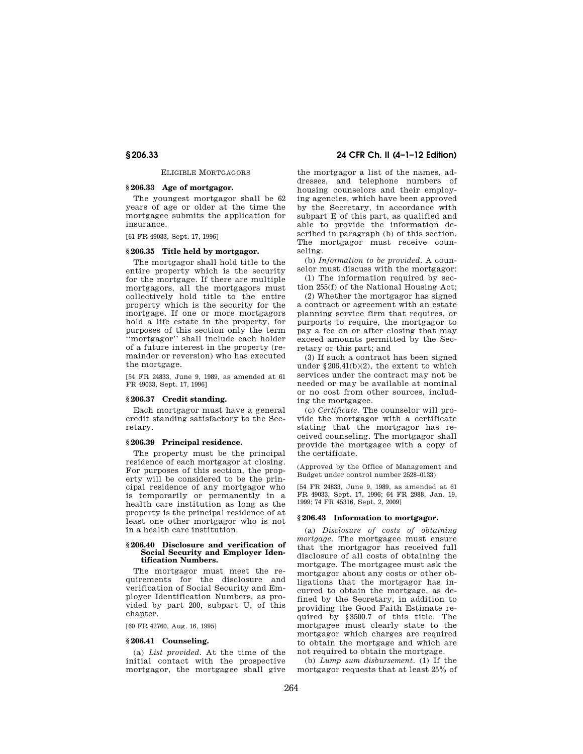#### ELIGIBLE MORTGAGORS

# **§ 206.33 Age of mortgagor.**

The youngest mortgagor shall be 62 years of age or older at the time the mortgagee submits the application for insurance.

[61 FR 49033, Sept. 17, 1996]

#### **§ 206.35 Title held by mortgagor.**

The mortgagor shall hold title to the entire property which is the security for the mortgage. If there are multiple mortgagors, all the mortgagors must collectively hold title to the entire property which is the security for the mortgage. If one or more mortgagors hold a life estate in the property, for purposes of this section only the term ''mortgagor'' shall include each holder of a future interest in the property (remainder or reversion) who has executed the mortgage.

[54 FR 24833, June 9, 1989, as amended at 61 FR 49033, Sept. 17, 1996]

# **§ 206.37 Credit standing.**

Each mortgagor must have a general credit standing satisfactory to the Secretary.

#### **§ 206.39 Principal residence.**

The property must be the principal residence of each mortgagor at closing. For purposes of this section, the property will be considered to be the principal residence of any mortgagor who is temporarily or permanently in a health care institution as long as the property is the principal residence of at least one other mortgagor who is not in a health care institution.

#### **§ 206.40 Disclosure and verification of Social Security and Employer Identification Numbers.**

The mortgagor must meet the requirements for the disclosure and verification of Social Security and Employer Identification Numbers, as provided by part 200, subpart U, of this chapter.

[60 FR 42760, Aug. 16, 1995]

#### **§ 206.41 Counseling.**

(a) *List provided.* At the time of the initial contact with the prospective mortgagor, the mortgagee shall give

**§ 206.33 24 CFR Ch. II (4–1–12 Edition)** 

the mortgagor a list of the names, addresses, and telephone numbers of housing counselors and their employing agencies, which have been approved by the Secretary, in accordance with subpart E of this part, as qualified and able to provide the information described in paragraph (b) of this section. The mortgagor must receive counseling.

(b) *Information to be provided.* A counselor must discuss with the mortgagor:

(1) The information required by section 255(f) of the National Housing Act;

(2) Whether the mortgagor has signed a contract or agreement with an estate planning service firm that requires, or purports to require, the mortgagor to pay a fee on or after closing that may exceed amounts permitted by the Secretary or this part; and

(3) If such a contract has been signed under §206.41(b)(2), the extent to which services under the contract may not be needed or may be available at nominal or no cost from other sources, including the mortgagee.

(c) *Certificate.* The counselor will provide the mortgagor with a certificate stating that the mortgagor has received counseling. The mortgagor shall provide the mortgagee with a copy of the certificate.

(Approved by the Office of Management and Budget under control number 2528–0133)

[54 FR 24833, June 9, 1989, as amended at 61 FR 49033, Sept. 17, 1996; 64 FR 2988, Jan. 19, 1999; 74 FR 45316, Sept. 2, 2009]

# **§ 206.43 Information to mortgagor.**

(a) *Disclosure of costs of obtaining mortgage.* The mortgagee must ensure that the mortgagor has received full disclosure of all costs of obtaining the mortgage. The mortgagee must ask the mortgagor about any costs or other obligations that the mortgagor has incurred to obtain the mortgage, as defined by the Secretary, in addition to providing the Good Faith Estimate required by §3500.7 of this title. The mortgagee must clearly state to the mortgagor which charges are required to obtain the mortgage and which are not required to obtain the mortgage.

(b) *Lump sum disbursement.* (1) If the mortgagor requests that at least 25% of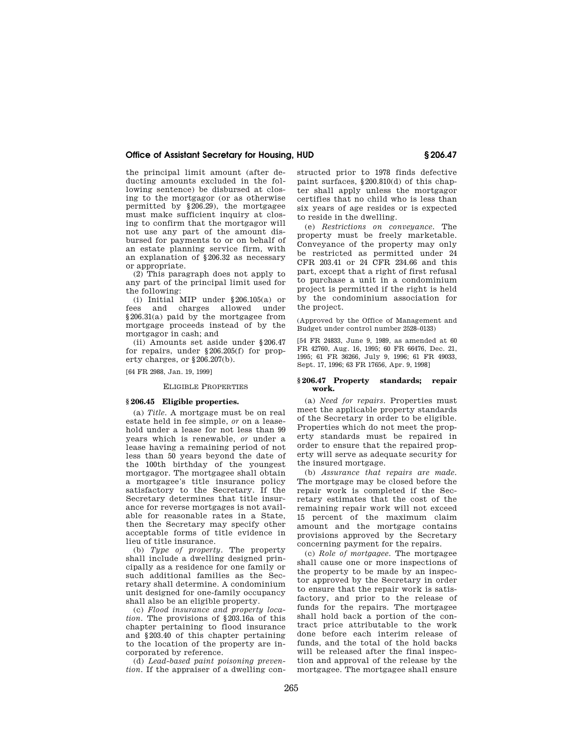the principal limit amount (after deducting amounts excluded in the following sentence) be disbursed at closing to the mortgagor (or as otherwise permitted by §206.29), the mortgagee must make sufficient inquiry at closing to confirm that the mortgagor will not use any part of the amount disbursed for payments to or on behalf of an estate planning service firm, with an explanation of §206.32 as necessary or appropriate.

(2) This paragraph does not apply to any part of the principal limit used for the following:

(i) Initial MIP under  $\S 206.105(a)$  or<br>fees and charges allowed under and charges allowed under §206.31(a) paid by the mortgagee from mortgage proceeds instead of by the mortgagor in cash; and

(ii) Amounts set aside under §206.47 for repairs, under §206.205(f) for property charges, or §206.207(b).

[64 FR 2988, Jan. 19, 1999]

#### ELIGIBLE PROPERTIES

# **§ 206.45 Eligible properties.**

(a) *Title.* A mortgage must be on real estate held in fee simple, *or* on a leasehold under a lease for not less than 99 years which is renewable, *or* under a lease having a remaining period of not less than 50 years beyond the date of the 100th birthday of the youngest mortgagor. The mortgagee shall obtain a mortgagee's title insurance policy satisfactory to the Secretary. If the Secretary determines that title insurance for reverse mortgages is not available for reasonable rates in a State, then the Secretary may specify other acceptable forms of title evidence in lieu of title insurance.

(b) *Type of property.* The property shall include a dwelling designed principally as a residence for one family or such additional families as the Secretary shall determine. A condominium unit designed for one-family occupancy shall also be an eligible property.

(c) *Flood insurance and property location.* The provisions of §203.16a of this chapter pertaining to flood insurance and §203.40 of this chapter pertaining to the location of the property are incorporated by reference.

(d) *Lead-based paint poisoning prevention.* If the appraiser of a dwelling constructed prior to 1978 finds defective paint surfaces, §200.810(d) of this chapter shall apply unless the mortgagor certifies that no child who is less than six years of age resides or is expected to reside in the dwelling.

(e) *Restrictions on conveyance.* The property must be freely marketable. Conveyance of the property may only be restricted as permitted under 24 CFR 203.41 or 24 CFR 234.66 and this part, except that a right of first refusal to purchase a unit in a condominium project is permitted if the right is held by the condominium association for the project.

(Approved by the Office of Management and Budget under control number 2528–0133)

[54 FR 24833, June 9, 1989, as amended at 60 FR 42760, Aug. 16, 1995; 60 FR 66476, Dec. 21, 1995; 61 FR 36266, July 9, 1996; 61 FR 49033, Sept. 17, 1996; 63 FR 17656, Apr. 9, 1998]

#### **§ 206.47 Property standards; repair work.**

(a) *Need for repairs.* Properties must meet the applicable property standards of the Secretary in order to be eligible. Properties which do not meet the property standards must be repaired in order to ensure that the repaired property will serve as adequate security for the insured mortgage.

(b) *Assurance that repairs are made.*  The mortgage may be closed before the repair work is completed if the Secretary estimates that the cost of the remaining repair work will not exceed 15 percent of the maximum claim amount and the mortgage contains provisions approved by the Secretary concerning payment for the repairs.

(c) *Role of mortgagee.* The mortgagee shall cause one or more inspections of the property to be made by an inspector approved by the Secretary in order to ensure that the repair work is satisfactory, and prior to the release of funds for the repairs. The mortgagee shall hold back a portion of the contract price attributable to the work done before each interim release of funds, and the total of the hold backs will be released after the final inspection and approval of the release by the mortgagee. The mortgagee shall ensure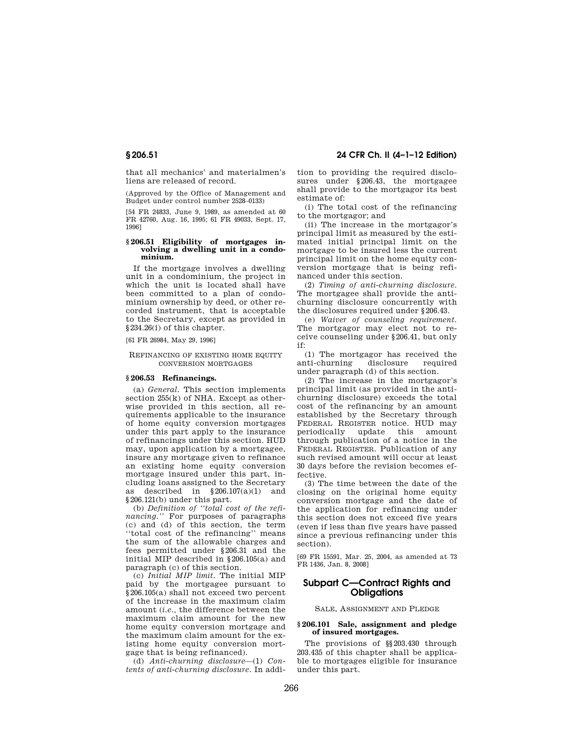that all mechanics' and materialmen's liens are released of record.

(Approved by the Office of Management and Budget under control number 2528–0133)

[54 FR 24833, June 9, 1989, as amended at 60 FR 42760, Aug. 16, 1995; 61 FR 49033, Sept. 17, 1996]

# **§ 206.51 Eligibility of mortgages in-volving a dwelling unit in a condominium.**

If the mortgage involves a dwelling unit in a condominium, the project in which the unit is located shall have been committed to a plan of condominium ownership by deed, or other recorded instrument, that is acceptable to the Secretary, except as provided in §234.26(i) of this chapter.

[61 FR 26984, May 29, 1996]

#### REFINANCING OF EXISTING HOME EQUITY CONVERSION MORTGAGES

#### **§ 206.53 Refinancings.**

(a) *General.* This section implements section 255(k) of NHA. Except as otherwise provided in this section, all requirements applicable to the insurance of home equity conversion mortgages under this part apply to the insurance of refinancings under this section. HUD may, upon application by a mortgagee, insure any mortgage given to refinance an existing home equity conversion mortgage insured under this part, including loans assigned to the Secretary as described in §206.107(a)(1) and §206.121(b) under this part.

(b) *Definition of ''total cost of the refinancing.''* For purposes of paragraphs (c) and (d) of this section, the term ''total cost of the refinancing'' means the sum of the allowable charges and fees permitted under §206.31 and the initial MIP described in §206.105(a) and paragraph (c) of this section.

(c) *Initial MIP limit.* The initial MIP paid by the mortgagee pursuant to §206.105(a) shall not exceed two percent of the increase in the maximum claim amount (*i.e.,* the difference between the maximum claim amount for the new home equity conversion mortgage and the maximum claim amount for the existing home equity conversion mortgage that is being refinanced).

(d) *Anti-churning disclosure*—(1) *Contents of anti-churning disclosure.* In addition to providing the required disclosures under §206.43, the mortgagee shall provide to the mortgagor its best estimate of:

(i) The total cost of the refinancing to the mortgagor; and

(ii) The increase in the mortgagor's principal limit as measured by the estimated initial principal limit on the mortgage to be insured less the current principal limit on the home equity conversion mortgage that is being refinanced under this section.

(2) *Timing of anti-churning disclosure.*  The mortgagee shall provide the antichurning disclosure concurrently with the disclosures required under §206.43.

(e) *Waiver of counseling requirement.*  The mortgagor may elect not to receive counseling under §206.41, but only if:

(1) The mortgagor has received the anti-churning disclosure required under paragraph (d) of this section.

(2) The increase in the mortgagor's principal limit (as provided in the antichurning disclosure) exceeds the total cost of the refinancing by an amount established by the Secretary through FEDERAL REGISTER notice. HUD may periodically update this amount through publication of a notice in the FEDERAL REGISTER. Publication of any such revised amount will occur at least 30 days before the revision becomes effective.

(3) The time between the date of the closing on the original home equity conversion mortgage and the date of the application for refinancing under this section does not exceed five years (even if less than five years have passed since a previous refinancing under this section).

[69 FR 15591, Mar. 25, 2004, as amended at 73 FR 1436, Jan. 8, 2008]

# **Subpart C—Contract Rights and Obligations**

# SALE, ASSIGNMENT AND PLEDGE

# **§ 206.101 Sale, assignment and pledge of insured mortgages.**

The provisions of §§203.430 through 203.435 of this chapter shall be applicable to mortgages eligible for insurance under this part.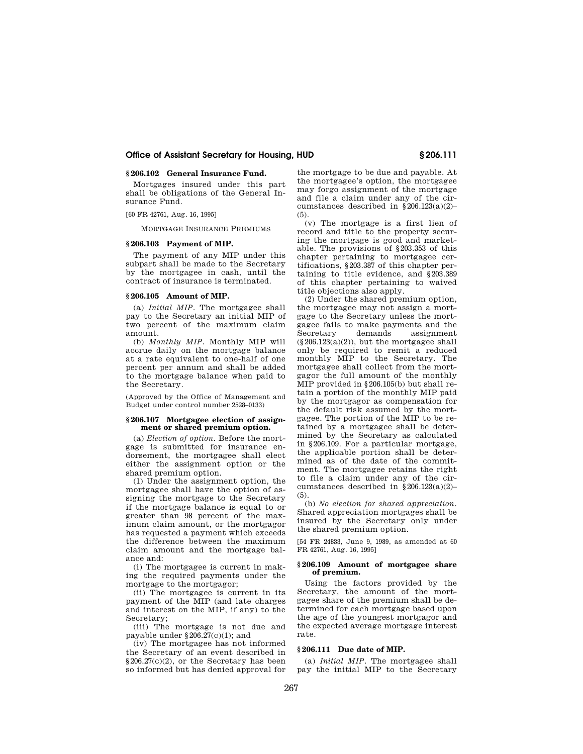# **§ 206.102 General Insurance Fund.**

Mortgages insured under this part shall be obligations of the General Insurance Fund.

[60 FR 42761, Aug. 16, 1995]

MORTGAGE INSURANCE PREMIUMS

#### **§ 206.103 Payment of MIP.**

The payment of any MIP under this subpart shall be made to the Secretary by the mortgagee in cash, until the contract of insurance is terminated.

# **§ 206.105 Amount of MIP.**

(a) *Initial MIP.* The mortgagee shall pay to the Secretary an initial MIP of two percent of the maximum claim amount.

(b) *Monthly MIP.* Monthly MIP will accrue daily on the mortgage balance at a rate equivalent to one-half of one percent per annum and shall be added to the mortgage balance when paid to the Secretary.

(Approved by the Office of Management and Budget under control number 2528–0133)

#### **§ 206.107 Mortgagee election of assignment or shared premium option.**

(a) *Election of option.* Before the mortgage is submitted for insurance endorsement, the mortgagee shall elect either the assignment option or the shared premium option.

(1) Under the assignment option, the mortgagee shall have the option of assigning the mortgage to the Secretary if the mortgage balance is equal to or greater than 98 percent of the maximum claim amount, or the mortgagor has requested a payment which exceeds the difference between the maximum claim amount and the mortgage balance and:

(i) The mortgagee is current in making the required payments under the mortgage to the mortgagor;

(ii) The mortgagee is current in its payment of the MIP (and late charges and interest on the MIP, if any) to the Secretary;

(iii) The mortgage is not due and payable under §206.27(c)(1); and

(iv) The mortgagee has not informed the Secretary of an event described in §206.27(c)(2), or the Secretary has been so informed but has denied approval for the mortgage to be due and payable. At the mortgagee's option, the mortgagee may forgo assignment of the mortgage and file a claim under any of the circumstances described in §206.123(a)(2)– (5).

(v) The mortgage is a first lien of record and title to the property securing the mortgage is good and marketable. The provisions of §203.353 of this chapter pertaining to mortgagee certifications, §203.387 of this chapter pertaining to title evidence, and §203.389 of this chapter pertaining to waived title objections also apply.

(2) Under the shared premium option, the mortgagee may not assign a mortgage to the Secretary unless the mortgagee fails to make payments and the Secretary demands assignment  $(\S 206.123(a)(2))$ , but the mortgagee shall only be required to remit a reduced monthly MIP to the Secretary. The mortgagee shall collect from the mortgagor the full amount of the monthly MIP provided in §206.105(b) but shall retain a portion of the monthly MIP paid by the mortgagor as compensation for the default risk assumed by the mortgagee. The portion of the MIP to be retained by a mortgagee shall be determined by the Secretary as calculated in §206.109. For a particular mortgage, the applicable portion shall be determined as of the date of the commitment. The mortgagee retains the right to file a claim under any of the circumstances described in §206.123(a)(2)– (5).

(b) *No election for shared appreciation.*  Shared appreciation mortgages shall be insured by the Secretary only under the shared premium option.

[54 FR 24833, June 9, 1989, as amended at 60 FR 42761, Aug. 16, 1995]

## **§ 206.109 Amount of mortgagee share of premium.**

Using the factors provided by the Secretary, the amount of the mortgagee share of the premium shall be determined for each mortgage based upon the age of the youngest mortgagor and the expected average mortgage interest rate.

#### **§ 206.111 Due date of MIP.**

(a) *Initial MIP.* The mortgagee shall pay the initial MIP to the Secretary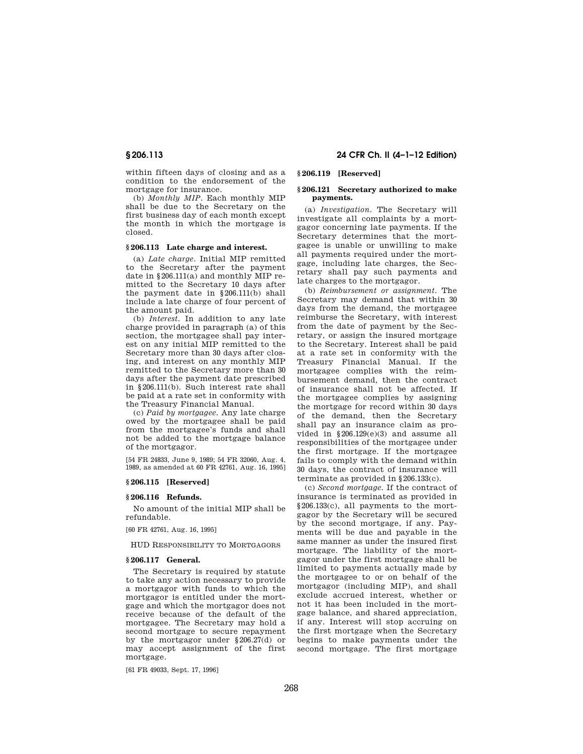within fifteen days of closing and as a condition to the endorsement of the mortgage for insurance.

(b) *Monthly MIP.* Each monthly MIP shall be due to the Secretary on the first business day of each month except the month in which the mortgage is closed.

#### **§ 206.113 Late charge and interest.**

(a) *Late charge.* Initial MIP remitted to the Secretary after the payment date in  $§206.111(a)$  and monthly MIP remitted to the Secretary 10 days after the payment date in §206.111(b) shall include a late charge of four percent of the amount paid.

(b) *Interest.* In addition to any late charge provided in paragraph (a) of this section, the mortgagee shall pay interest on any initial MIP remitted to the Secretary more than 30 days after closing, and interest on any monthly MIP remitted to the Secretary more than 30 days after the payment date prescribed in §206.111(b). Such interest rate shall be paid at a rate set in conformity with the Treasury Financial Manual.

(c) *Paid by mortgagee.* Any late charge owed by the mortgagee shall be paid from the mortgagee's funds and shall not be added to the mortgage balance of the mortgagor.

[54 FR 24833, June 9, 1989; 54 FR 32060, Aug. 4, 1989, as amended at 60 FR 42761, Aug. 16, 1995]

# **§ 206.115 [Reserved]**

# **§ 206.116 Refunds.**

No amount of the initial MIP shall be refundable.

[60 FR 42761, Aug. 16, 1995]

HUD RESPONSIBILITY TO MORTGAGORS

## **§ 206.117 General.**

The Secretary is required by statute to take any action necessary to provide a mortgagor with funds to which the mortgagor is entitled under the mortgage and which the mortgagor does not receive because of the default of the mortgagee. The Secretary may hold a second mortgage to secure repayment by the mortgagor under §206.27(d) or may accept assignment of the first mortgage.

[61 FR 49033, Sept. 17, 1996]

# **§ 206.113 24 CFR Ch. II (4–1–12 Edition)**

# **§ 206.119 [Reserved]**

#### **§ 206.121 Secretary authorized to make payments.**

(a) *Investigation.* The Secretary will investigate all complaints by a mortgagor concerning late payments. If the Secretary determines that the mortgagee is unable or unwilling to make all payments required under the mortgage, including late charges, the Secretary shall pay such payments and late charges to the mortgagor.

(b) *Reimbursement or assignment.* The Secretary may demand that within 30 days from the demand, the mortgagee reimburse the Secretary, with interest from the date of payment by the Secretary, or assign the insured mortgage to the Secretary. Interest shall be paid at a rate set in conformity with the Treasury Financial Manual. If the mortgagee complies with the reimbursement demand, then the contract of insurance shall not be affected. If the mortgagee complies by assigning the mortgage for record within 30 days of the demand, then the Secretary shall pay an insurance claim as provided in §206.129(e)(3) and assume all responsibilities of the mortgagee under the first mortgage. If the mortgagee fails to comply with the demand within 30 days, the contract of insurance will terminate as provided in §206.133(c).

(c) *Second mortgage.* If the contract of insurance is terminated as provided in §206.133(c), all payments to the mortgagor by the Secretary will be secured by the second mortgage, if any. Payments will be due and payable in the same manner as under the insured first mortgage. The liability of the mortgagor under the first mortgage shall be limited to payments actually made by the mortgagee to or on behalf of the mortgagor (including MIP), and shall exclude accrued interest, whether or not it has been included in the mortgage balance, and shared appreciation, if any. Interest will stop accruing on the first mortgage when the Secretary begins to make payments under the second mortgage. The first mortgage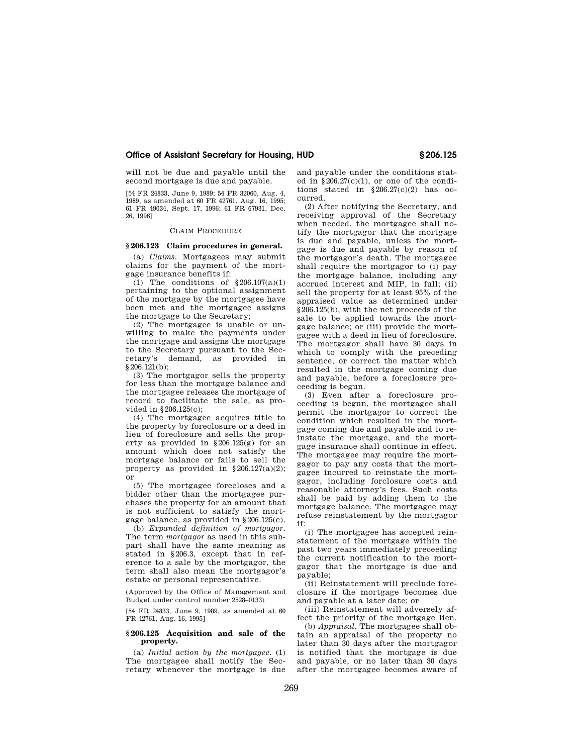will not be due and payable until the second mortgage is due and payable.

[54 FR 24833, June 9, 1989; 54 FR 32060, Aug. 4, 1989, as amended at 60 FR 42761, Aug. 16, 1995; 61 FR 49034, Sept. 17, 1996; 61 FR 67931, Dec. 26, 1996]

#### CLAIM PROCEDURE

# **§ 206.123 Claim procedures in general.**

(a) *Claims.* Mortgagees may submit claims for the payment of the mortgage insurance benefits if:

(1) The conditions of  $$206.107(a)(1)$ pertaining to the optional assignment of the mortgage by the mortgagee have been met and the mortgagee assigns the mortgage to the Secretary;

(2) The mortgagee is unable or unwilling to make the payments under the mortgage and assigns the mortgage to the Secretary pursuant to the Secretary's demand, as provided in §206.121(b);

(3) The mortgagor sells the property for less than the mortgage balance and the mortgagee releases the mortgage of record to facilitate the sale, as provided in §206.125(c);

(4) The mortgagee acquires title to the property by foreclosure or a deed in lieu of foreclosure and sells the property as provided in §206.125(g) for an amount which does not satisfy the mortgage balance or fails to sell the property as provided in  $§206.127(a)(2);$ or

(5) The mortgagee forecloses and a bidder other than the mortgagee purchases the property for an amount that is not sufficient to satisfy the mortgage balance, as provided in §206.125(e).

(b) *Expanded definition of mortgagor.*  The term *mortgagor* as used in this subpart shall have the same meaning as stated in §206.3, except that in reference to a sale by the mortgagor, the term shall also mean the mortgagor's estate or personal representative.

(Approved by the Office of Management and Budget under control number 2528–0133)

[54 FR 24833, June 9, 1989, as amended at 60 FR 42761, Aug. 16, 1995]

#### **§ 206.125 Acquisition and sale of the property.**

(a) *Initial action by the mortgagee.* (1) The mortgagee shall notify the Secretary whenever the mortgage is due and payable under the conditions stated in  $\S 206.27(c)(1)$ , or one of the conditions stated in  $§206.27(c)(2)$  has occurred.

(2) After notifying the Secretary, and receiving approval of the Secretary when needed, the mortgagee shall notify the mortgagor that the mortgage is due and payable, unless the mortgage is due and payable by reason of the mortgagor's death. The mortgagee shall require the mortgagor to (i) pay the mortgage balance, including any accrued interest and MIP, in full; (ii) sell the property for at least 95% of the appraised value as determined under §206.125(b), with the net proceeds of the sale to be applied towards the mortgage balance; or (iii) provide the mortgagee with a deed in lieu of foreclosure. The mortgagor shall have 30 days in which to comply with the preceding sentence, or correct the matter which resulted in the mortgage coming due and payable, before a foreclosure proceeding is begun.

(3) Even after a foreclosure proceeding is begun, the mortgagee shall permit the mortgagor to correct the condition which resulted in the mortgage coming due and payable and to reinstate the mortgage, and the mortgage insurance shall continue in effect. The mortgagee may require the mortgagor to pay any costs that the mortgagee incurred to reinstate the mortgagor, including forclosure costs and reasonable attorney's fees. Such costs shall be paid by adding them to the mortgage balance. The mortgagee may refuse reinstatement by the mortgagor if:

(i) The mortgagee has accepted reinstatement of the mortgage within the past two years immediately preceeding the current notification to the mortgagor that the mortgage is due and payable;

(ii) Reinstatement will preclude foreclosure if the mortgage becomes due and payable at a later date; or

(iii) Reinstatement will adversely affect the priority of the mortgage lien.

(b) *Appraisal.* The mortgagee shall obtain an appraisal of the property no later than 30 days after the mortgagor is notified that the mortgage is due and payable, or no later than 30 days after the mortgagee becomes aware of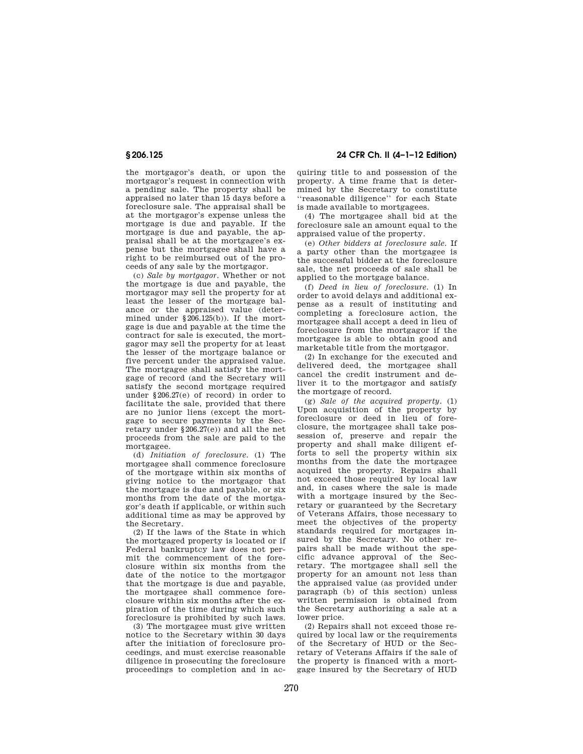# **§ 206.125 24 CFR Ch. II (4–1–12 Edition)**

the mortgagor's death, or upon the mortgagor's request in connection with a pending sale. The property shall be appraised no later than 15 days before a foreclosure sale. The appraisal shall be at the mortgagor's expense unless the mortgage is due and payable. If the mortgage is due and payable, the appraisal shall be at the mortgagee's expense but the mortgagee shall have a right to be reimbursed out of the proceeds of any sale by the mortgagor.

(c) *Sale by mortgagor.* Whether or not the mortgage is due and payable, the mortgagor may sell the property for at least the lesser of the mortgage balance or the appraised value (determined under §206.125(b)). If the mortgage is due and payable at the time the contract for sale is executed, the mortgagor may sell the property for at least the lesser of the mortgage balance or five percent under the appraised value. The mortgagee shall satisfy the mortgage of record (and the Secretary will satisfy the second mortgage required under §206.27(e) of record) in order to facilitate the sale, provided that there are no junior liens (except the mortgage to secure payments by the Secretary under §206.27(e)) and all the net proceeds from the sale are paid to the mortgagee.

(d) *Initiation of foreclosure.* (1) The mortgagee shall commence foreclosure of the mortgage within six months of giving notice to the mortgagor that the mortgage is due and payable, or six months from the date of the mortgagor's death if applicable, or within such additional time as may be approved by the Secretary.

(2) If the laws of the State in which the mortgaged property is located or if Federal bankruptcy law does not permit the commencement of the foreclosure within six months from the date of the notice to the mortgagor that the mortgage is due and payable, the mortgagee shall commence foreclosure within six months after the expiration of the time during which such foreclosure is prohibited by such laws.

(3) The mortgagee must give written notice to the Secretary within 30 days after the initiation of foreclosure proceedings, and must exercise reasonable diligence in prosecuting the foreclosure proceedings to completion and in acquiring title to and possession of the property. A time frame that is determined by the Secretary to constitute ''reasonable diligence'' for each State is made available to mortgagees.

(4) The mortgagee shall bid at the foreclosure sale an amount equal to the appraised value of the property.

(e) *Other bidders at foreclosure sale.* If a party other than the mortgagee is the successful bidder at the foreclosure sale, the net proceeds of sale shall be applied to the mortgage balance.

(f) *Deed in lieu of foreclosure.* (1) In order to avoid delays and additional expense as a result of instituting and completing a foreclosure action, the mortgagee shall accept a deed in lieu of foreclosure from the mortgagor if the mortgagee is able to obtain good and marketable title from the mortgagor.

(2) In exchange for the executed and delivered deed, the mortgagee shall cancel the credit instrument and deliver it to the mortgagor and satisfy the mortgage of record.

(g) *Sale of the acquired property.* (1) Upon acquisition of the property by foreclosure or deed in lieu of foreclosure, the mortgagee shall take possession of, preserve and repair the property and shall make diligent efforts to sell the property within six months from the date the mortgagee acquired the property. Repairs shall not exceed those required by local law and, in cases where the sale is made with a mortgage insured by the Secretary or guaranteed by the Secretary of Veterans Affairs, those necessary to meet the objectives of the property standards required for mortgages insured by the Secretary. No other repairs shall be made without the specific advance approval of the Secretary. The mortgagee shall sell the property for an amount not less than the appraised value (as provided under paragraph (b) of this section) unless written permission is obtained from the Secretary authorizing a sale at a lower price.

(2) Repairs shall not exceed those required by local law or the requirements of the Secretary of HUD or the Secretary of Veterans Affairs if the sale of the property is financed with a mortgage insured by the Secretary of HUD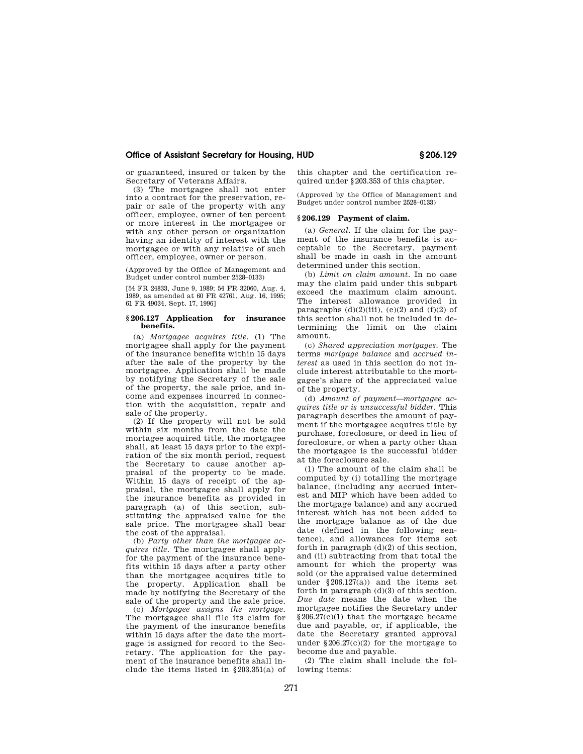or guaranteed, insured or taken by the Secretary of Veterans Affairs.

(3) The mortgagee shall not enter into a contract for the preservation, repair or sale of the property with any officer, employee, owner of ten percent or more interest in the mortgagee or with any other person or organization having an identity of interest with the mortgagee or with any relative of such officer, employee, owner or person.

(Approved by the Office of Management and Budget under control number 2528–0133)

[54 FR 24833, June 9, 1989; 54 FR 32060, Aug. 4, 1989, as amended at 60 FR 42761, Aug. 16, 1995; 61 FR 49034, Sept. 17, 1996]

#### **§ 206.127 Application for insurance benefits.**

(a) *Mortgagee acquires title.* (1) The mortgagee shall apply for the payment of the insurance benefits within 15 days after the sale of the property by the mortgagee. Application shall be made by notifying the Secretary of the sale of the property, the sale price, and income and expenses incurred in connection with the acquisition, repair and sale of the property.

(2) If the property will not be sold within six months from the date the mortagee acquired title, the mortgagee shall, at least 15 days prior to the expiration of the six month period, request the Secretary to cause another appraisal of the property to be made. Within 15 days of receipt of the appraisal, the mortgagee shall apply for the insurance benefits as provided in paragraph (a) of this section, substituting the appraised value for the sale price. The mortgagee shall bear the cost of the appraisal.

(b) *Party other than the mortgagee acquires title.* The mortgagee shall apply for the payment of the insurance benefits within 15 days after a party other than the mortgagee acquires title to the property. Application shall be made by notifying the Secretary of the sale of the property and the sale price.

(c) *Mortgagee assigns the mortgage.*  The mortgagee shall file its claim for the payment of the insurance benefits within 15 days after the date the mortgage is assigned for record to the Secretary. The application for the payment of the insurance benefits shall include the items listed in §203.351(a) of this chapter and the certification required under §203.353 of this chapter.

(Approved by the Office of Management and Budget under control number 2528–0133)

# **§ 206.129 Payment of claim.**

(a) *General.* If the claim for the payment of the insurance benefits is acceptable to the Secretary, payment shall be made in cash in the amount determined under this section.

(b) *Limit on claim amount.* In no case may the claim paid under this subpart exceed the maximum claim amount. The interest allowance provided in paragraphs  $(d)(2)(iii)$ ,  $(e)(2)$  and  $(f)(2)$  of this section shall not be included in determining the limit on the claim amount.

(c) *Shared appreciation mortgages.* The terms *mortgage balance* and *accrued interest* as used in this section do not include interest attributable to the mortgagee's share of the appreciated value of the property.

(d) *Amount of payment—mortgagee acquires title or is unsuccessful bidder.* This paragraph describes the amount of payment if the mortgagee acquires title by purchase, foreclosure, or deed in lieu of foreclosure, or when a party other than the mortgagee is the successful bidder at the foreclosure sale.

(1) The amount of the claim shall be computed by (i) totalling the mortgage balance, (including any accrued interest and MIP which have been added to the mortgage balance) and any accrued interest which has not been added to the mortgage balance as of the due date (defined in the following sentence), and allowances for items set forth in paragraph (d)(2) of this section, and (ii) subtracting from that total the amount for which the property was sold (or the appraised value determined under §206.127(a)) and the items set forth in paragraph  $(d)(3)$  of this section. *Due date* means the date when the mortgagee notifies the Secretary under §206.27(c)(1) that the mortgage became due and payable, or, if applicable, the date the Secretary granted approval under  $$206.27(c)(2)$  for the mortgage to become due and payable.

(2) The claim shall include the following items: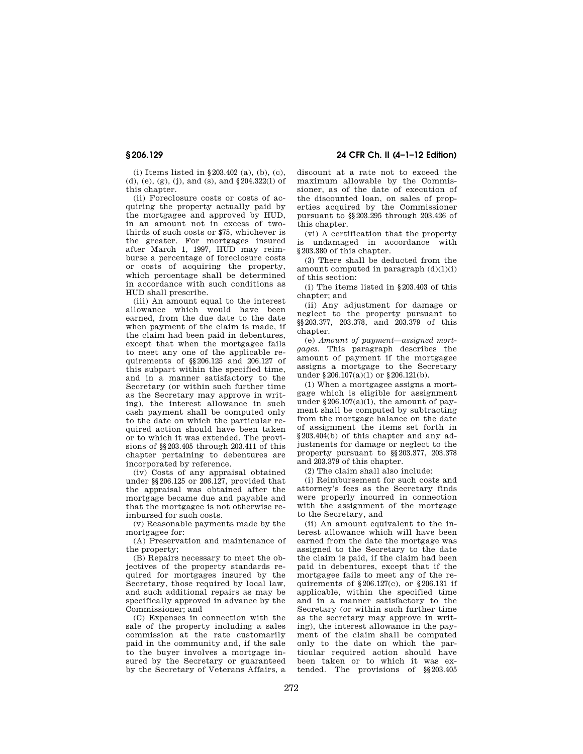(i) Items listed in §203.402 (a), (b), (c), (d), (e), (g), (j), and (s), and §204.322(l) of this chapter.

(ii) Foreclosure costs or costs of acquiring the property actually paid by the mortgagee and approved by HUD, in an amount not in excess of twothirds of such costs or \$75, whichever is the greater. For mortgages insured after March 1, 1997, HUD may reimburse a percentage of foreclosure costs or costs of acquiring the property, which percentage shall be determined in accordance with such conditions as HUD shall prescribe.

(iii) An amount equal to the interest allowance which would have been earned, from the due date to the date when payment of the claim is made, if the claim had been paid in debentures except that when the mortgagee fails to meet any one of the applicable requirements of §§206.125 and 206.127 of this subpart within the specified time, and in a manner satisfactory to the Secretary (or within such further time as the Secretary may approve in writing), the interest allowance in such cash payment shall be computed only to the date on which the particular required action should have been taken or to which it was extended. The provisions of §§203.405 through 203.411 of this chapter pertaining to debentures are incorporated by reference.

(iv) Costs of any appraisal obtained under §§206.125 or 206.127, provided that the appraisal was obtained after the mortgage became due and payable and that the mortgagee is not otherwise reimbursed for such costs.

(v) Reasonable payments made by the mortgagee for:

(A) Preservation and maintenance of the property;

(B) Repairs necessary to meet the objectives of the property standards required for mortgages insured by the Secretary, those required by local law, and such additional repairs as may be specifically approved in advance by the Commissioner; and

(C) Expenses in connection with the sale of the property including a sales commission at the rate customarily paid in the community and, if the sale to the buyer involves a mortgage insured by the Secretary or guaranteed by the Secretary of Veterans Affairs, a

**§ 206.129 24 CFR Ch. II (4–1–12 Edition)** 

discount at a rate not to exceed the maximum allowable by the Commissioner, as of the date of execution of the discounted loan, on sales of properties acquired by the Commissioner pursuant to §§203.295 through 203.426 of this chapter.

(vi) A certification that the property is undamaged in accordance with §203.380 of this chapter.

(3) There shall be deducted from the amount computed in paragraph  $(d)(1)(i)$ of this section:

(i) The items listed in §203.403 of this chapter; and

(ii) Any adjustment for damage or neglect to the property pursuant to §§203.377, 203.378, and 203.379 of this chapter.

(e) *Amount of payment—assigned mortgages.* This paragraph describes the amount of payment if the mortgagee assigns a mortgage to the Secretary under §206.107(a)(1) or §206.121(b).

(1) When a mortgagee assigns a mortgage which is eligible for assignment under  $§206.107(a)(1)$ , the amount of payment shall be computed by subtracting from the mortgage balance on the date of assignment the items set forth in §203.404(b) of this chapter and any adjustments for damage or neglect to the property pursuant to §§203.377, 203.378 and 203.379 of this chapter.

(2) The claim shall also include:

(i) Reimbursement for such costs and attorney's fees as the Secretary finds were properly incurred in connection with the assignment of the mortgage to the Secretary, and

(ii) An amount equivalent to the interest allowance which will have been earned from the date the mortgage was assigned to the Secretary to the date the claim is paid, if the claim had been paid in debentures, except that if the mortgagee fails to meet any of the requirements of §206.127(c), or §206.131 if applicable, within the specified time and in a manner satisfactory to the Secretary (or within such further time as the secretary may approve in writing), the interest allowance in the payment of the claim shall be computed only to the date on which the particular required action should have been taken or to which it was extended. The provisions of §§203.405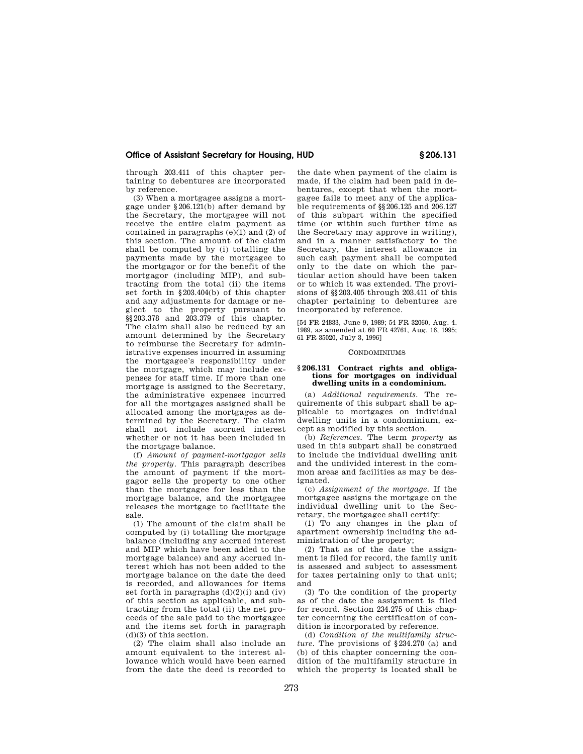through 203.411 of this chapter pertaining to debentures are incorporated by reference.

(3) When a mortgagee assigns a mortgage under §206.121(b) after demand by the Secretary, the mortgagee will not receive the entire claim payment as contained in paragraphs  $(e)(1)$  and  $(2)$  of this section. The amount of the claim shall be computed by (i) totalling the payments made by the mortgagee to the mortgagor or for the benefit of the mortgagor (including MIP), and subtracting from the total (ii) the items set forth in §203.404(b) of this chapter and any adjustments for damage or neglect to the property pursuant to §§203.378 and 203.379 of this chapter. The claim shall also be reduced by an amount determined by the Secretary to reimburse the Secretary for administrative expenses incurred in assuming the mortgagee's responsibility under the mortgage, which may include expenses for staff time. If more than one mortgage is assigned to the Secretary, the administrative expenses incurred for all the mortgages assigned shall be allocated among the mortgages as determined by the Secretary. The claim shall not include accrued interest whether or not it has been included in the mortgage balance.

(f) *Amount of payment-mortgagor sells the property.* This paragraph describes the amount of payment if the mortgagor sells the property to one other than the mortgagee for less than the mortgage balance, and the mortgagee releases the mortgage to facilitate the sale.

(1) The amount of the claim shall be computed by (i) totalling the mortgage balance (including any accrued interest and MIP which have been added to the mortgage balance) and any accrued interest which has not been added to the mortgage balance on the date the deed is recorded, and allowances for items set forth in paragraphs  $(d)(2)(i)$  and  $(iv)$ of this section as applicable, and subtracting from the total (ii) the net proceeds of the sale paid to the mortgagee and the items set forth in paragraph (d)(3) of this section.

(2) The claim shall also include an amount equivalent to the interest allowance which would have been earned from the date the deed is recorded to the date when payment of the claim is made, if the claim had been paid in debentures, except that when the mortgagee fails to meet any of the applicable requirements of §§206.125 and 206.127 of this subpart within the specified time (or within such further time as the Secretary may approve in writing), and in a manner satisfactory to the Secretary, the interest allowance in such cash payment shall be computed only to the date on which the particular action should have been taken or to which it was extended. The provisions of §§203.405 through 203.411 of this chapter pertaining to debentures are incorporated by reference.

[54 FR 24833, June 9, 1989; 54 FR 32060, Aug. 4. 1989, as amended at 60 FR 42761, Aug. 16, 1995; 61 FR 35020, July 3, 1996]

#### CONDOMINIUMS

#### **§ 206.131 Contract rights and obligations for mortgages on individual dwelling units in a condominium.**

(a) *Additional requirements.* The requirements of this subpart shall be applicable to mortgages on individual dwelling units in a condominium, except as modified by this section.

(b) *References.* The term *property* as used in this subpart shall be construed to include the individual dwelling unit and the undivided interest in the common areas and facilities as may be designated.

(c) *Assignment of the mortgage.* If the mortgagee assigns the mortgage on the individual dwelling unit to the Secretary, the mortgagee shall certify:

(1) To any changes in the plan of apartment ownership including the administration of the property;

(2) That as of the date the assignment is filed for record, the family unit is assessed and subject to assessment for taxes pertaining only to that unit; and

(3) To the condition of the property as of the date the assignment is filed for record. Section 234.275 of this chapter concerning the certification of condition is incorporated by reference.

(d) *Condition of the multifamily structure.* The provisions of §234.270 (a) and (b) of this chapter concerning the condition of the multifamily structure in which the property is located shall be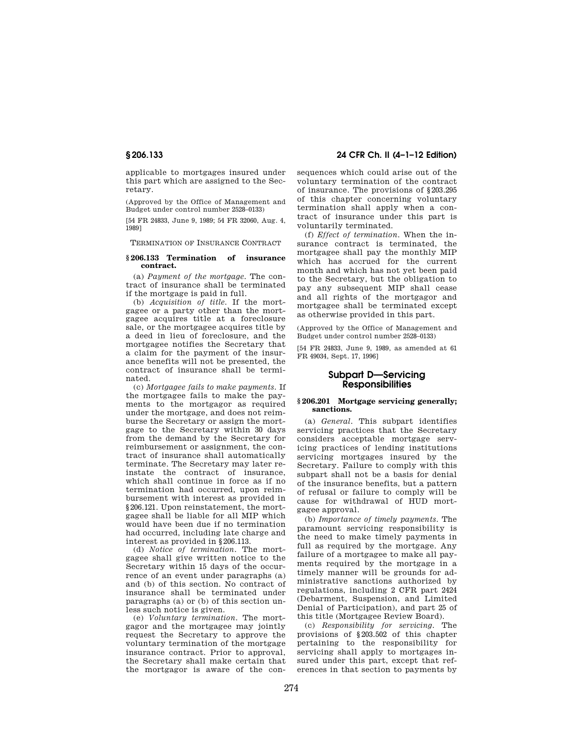applicable to mortgages insured under this part which are assigned to the Secretary.

(Approved by the Office of Management and Budget under control number 2528–0133)

[54 FR 24833, June 9, 1989; 54 FR 32060, Aug. 4, 1989]

TERMINATION OF INSURANCE CONTRACT

#### **§ 206.133 Termination of insurance contract.**

(a) *Payment of the mortgage.* The contract of insurance shall be terminated if the mortgage is paid in full.

(b) *Acquisition of title.* If the mortgagee or a party other than the mortgagee acquires title at a foreclosure sale, or the mortgagee acquires title by a deed in lieu of foreclosure, and the mortgagee notifies the Secretary that a claim for the payment of the insurance benefits will not be presented, the contract of insurance shall be terminated.

(c) *Mortgagee fails to make payments.* If the mortgagee fails to make the payments to the mortgagor as required under the mortgage, and does not reimburse the Secretary or assign the mortgage to the Secretary within 30 days from the demand by the Secretary for reimbursement or assignment, the contract of insurance shall automatically terminate. The Secretary may later reinstate the contract of insurance, which shall continue in force as if no termination had occurred, upon reimbursement with interest as provided in §206.121. Upon reinstatement, the mortgagee shall be liable for all MIP which would have been due if no termination had occurred, including late charge and interest as provided in §206.113.

(d) *Notice of termination.* The mortgagee shall give written notice to the Secretary within 15 days of the occurrence of an event under paragraphs (a) and (b) of this section. No contract of insurance shall be terminated under paragraphs (a) or (b) of this section unless such notice is given.

(e) *Voluntary termination.* The mortgagor and the mortgagee may jointly request the Secretary to approve the voluntary termination of the mortgage insurance contract. Prior to approval, the Secretary shall make certain that the mortgagor is aware of the con-

**§ 206.133 24 CFR Ch. II (4–1–12 Edition)** 

sequences which could arise out of the voluntary termination of the contract of insurance. The provisions of §203.295 of this chapter concerning voluntary termination shall apply when a contract of insurance under this part is voluntarily terminated.

(f) *Effect of termination.* When the insurance contract is terminated, the mortgagee shall pay the monthly MIP which has accrued for the current month and which has not yet been paid to the Secretary, but the obligation to pay any subsequent MIP shall cease and all rights of the mortgagor and mortgagee shall be terminated except as otherwise provided in this part.

(Approved by the Office of Management and Budget under control number 2528–0133)

[54 FR 24833, June 9, 1989, as amended at 61 FR 49034, Sept. 17, 1996]

# **Subpart D—Servicing Responsibilities**

#### **§ 206.201 Mortgage servicing generally; sanctions.**

(a) *General.* This subpart identifies servicing practices that the Secretary considers acceptable mortgage servicing practices of lending institutions servicing mortgages insured by the Secretary. Failure to comply with this subpart shall not be a basis for denial of the insurance benefits, but a pattern of refusal or failure to comply will be cause for withdrawal of HUD mortgagee approval.

(b) *Importance of timely payments*. The paramount servicing responsibility is the need to make timely payments in full as required by the mortgage. Any failure of a mortgagee to make all payments required by the mortgage in a timely manner will be grounds for administrative sanctions authorized by regulations, including 2 CFR part 2424 (Debarment, Suspension, and Limited Denial of Participation), and part 25 of this title (Mortgagee Review Board).

(c) *Responsibility for servicing.* The provisions of §203.502 of this chapter pertaining to the responsibility for servicing shall apply to mortgages insured under this part, except that references in that section to payments by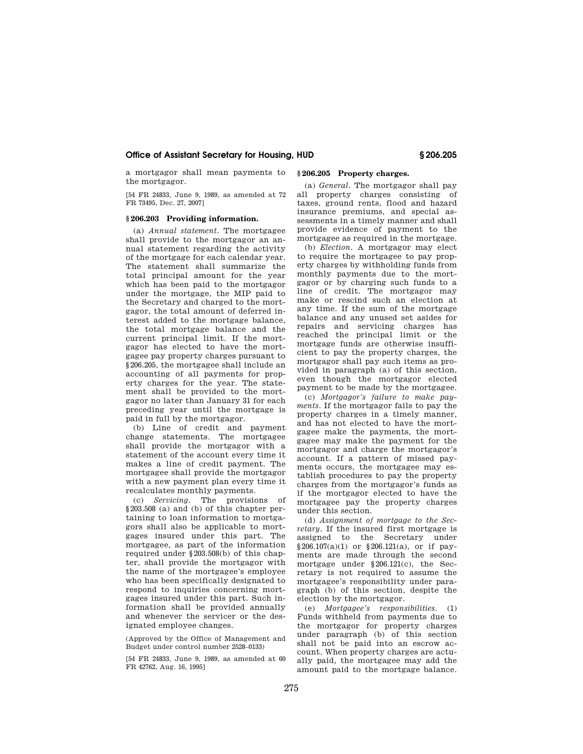a mortgagor shall mean payments to the mortgagor.

[54 FR 24833, June 9, 1989, as amended at 72 FR 73495, Dec. 27, 2007]

#### **§ 206.203 Providing information.**

(a) *Annual statement.* The mortgagee shall provide to the mortgagor an annual statement regarding the activity of the mortgage for each calendar year. The statement shall summarize the total principal amount for the year which has been paid to the mortgagor under the mortgage, the MIP paid to the Secretary and charged to the mortgagor, the total amount of deferred interest added to the mortgage balance, the total mortgage balance and the current principal limit. If the mortgagor has elected to have the mortgagee pay property charges pursuant to §206.205, the mortgagee shall include an accounting of all payments for property charges for the year. The statement shall be provided to the mortgagor no later than January 31 for each preceding year until the mortgage is paid in full by the mortgagor.

(b) Line of credit and payment change statements. The mortgagee shall provide the mortgagor with a statement of the account every time it makes a line of credit payment. The mortgagee shall provide the mortgagor with a new payment plan every time it recalculates monthly payments.

(c) *Servicing.* The provisions of §203.508 (a) and (b) of this chapter pertaining to loan information to mortgagors shall also be applicable to mortgages insured under this part. The mortgagee, as part of the information required under §203.508(b) of this chapter, shall provide the mortgagor with the name of the mortgagee's employee who has been specifically designated to respond to inquiries concerning mortgages insured under this part. Such information shall be provided annually and whenever the servicer or the designated employee changes.

(Approved by the Office of Management and Budget under control number 2528–0133)

[54 FR 24833, June 9, 1989, as amended at 60 FR 42762, Aug. 16, 1995]

# **§ 206.205 Property charges.**

(a) *General.* The mortgagor shall pay all property charges consisting of taxes, ground rents, flood and hazard insurance premiums, and special assessments in a timely manner and shall provide evidence of payment to the mortgagee as required in the mortgage.

(b) *Election.* A mortgagor may elect to require the mortgagee to pay property charges by withholding funds from monthly payments due to the mortgagor or by charging such funds to a line of credit. The mortgagor may make or rescind such an election at any time. If the sum of the mortgage balance and any unused set asides for repairs and servicing charges has reached the principal limit or the mortgage funds are otherwise insufficient to pay the property charges, the mortgagor shall pay such items as provided in paragraph (a) of this section, even though the mortgagor elected payment to be made by the mortgagee.

(c) *Mortgagor's failure to make payments.* If the mortgagor fails to pay the property charges in a timely manner, and has not elected to have the mortgagee make the payments, the mortgagee may make the payment for the mortgagor and charge the mortgagor's account. If a pattern of missed payments occurs, the mortgagee may establish procedures to pay the property charges from the mortgagor's funds as if the mortgagor elected to have the mortgagee pay the property charges under this section.

(d) *Assignment of mortgage to the Secretary.* If the insured first mortgage is assigned to the Secretary under §206.107(a)(1) or §206.121(a), or if payments are made through the second mortgage under §206.121(c), the Secretary is not required to assume the mortgagee's responsibility under paragraph (b) of this section, despite the election by the mortgagor.

(e) *Mortgagee's responsibilities.* (1) Funds withheld from payments due to the mortgagor for property charges under paragraph (b) of this section shall not be paid into an escrow account. When property charges are actually paid, the mortgagee may add the amount paid to the mortgage balance.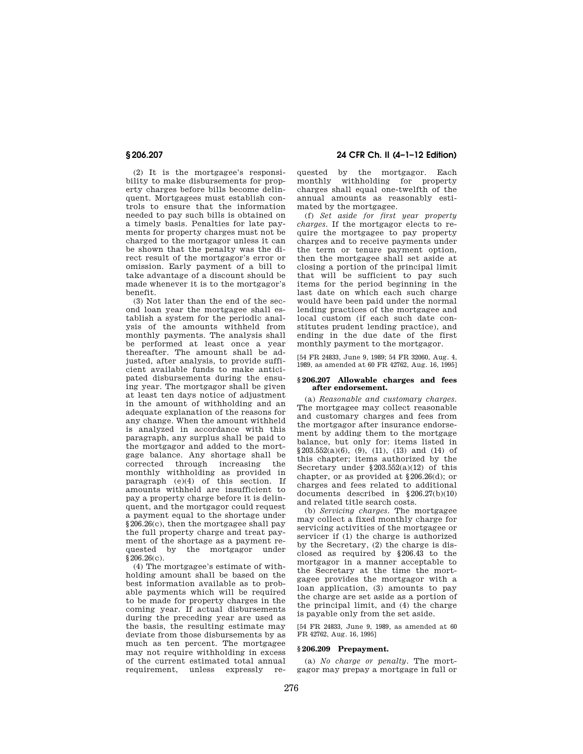(2) It is the mortgagee's responsibility to make disbursements for property charges before bills become delinquent. Mortgagees must establish controls to ensure that the information needed to pay such bills is obtained on a timely basis. Penalties for late payments for property charges must not be charged to the mortgagor unless it can be shown that the penalty was the direct result of the mortgagor's error or omission. Early payment of a bill to take advantage of a discount should be made whenever it is to the mortgagor's benefit.

(3) Not later than the end of the second loan year the mortgagee shall establish a system for the periodic analysis of the amounts withheld from monthly payments. The analysis shall be performed at least once a year thereafter. The amount shall be adjusted, after analysis, to provide sufficient available funds to make anticipated disbursements during the ensuing year. The mortgagor shall be given at least ten days notice of adjustment in the amount of withholding and an adequate explanation of the reasons for any change. When the amount withheld is analyzed in accordance with this paragraph, any surplus shall be paid to the mortgagor and added to the mortgage balance. Any shortage shall be<br>corrected through increasing the corrected through increasing monthly withholding as provided in paragraph (e)(4) of this section. If amounts withheld are insufficient to pay a property charge before it is delinquent, and the mortgagor could request a payment equal to the shortage under §206.26(c), then the mortgagee shall pay the full property charge and treat payment of the shortage as a payment requested by the mortgagor under  $$206.26(c)$ .

(4) The mortgagee's estimate of withholding amount shall be based on the best information available as to probable payments which will be required to be made for property charges in the coming year. If actual disbursements during the preceding year are used as the basis, the resulting estimate may deviate from those disbursements by as much as ten percent. The mortgagee may not require withholding in excess of the current estimated total annual requirement, unless expressly re-

**§ 206.207 24 CFR Ch. II (4–1–12 Edition)** 

quested by the mortgagor. Each monthly withholding for property charges shall equal one-twelfth of the annual amounts as reasonably estimated by the mortgagee.

(f) *Set aside for first year property charges.* If the mortgagor elects to require the mortgagee to pay property charges and to receive payments under the term or tenure payment option, then the mortgagee shall set aside at closing a portion of the principal limit that will be sufficient to pay such items for the period beginning in the last date on which each such charge would have been paid under the normal lending practices of the mortgagee and local custom (if each such date constitutes prudent lending practice), and ending in the due date of the first monthly payment to the mortgagor.

[54 FR 24833, June 9, 1989; 54 FR 32060, Aug. 4, 1989, as amended at 60 FR 42762, Aug. 16, 1995]

#### **§ 206.207 Allowable charges and fees after endorsement.**

(a) *Reasonable and customary charges.*  The mortgagee may collect reasonable and customary charges and fees from the mortgagor after insurance endorsement by adding them to the mortgage balance, but only for: items listed in  $$203.552(a)(6), (9), (11), (13) and (14) of$ this chapter; items authorized by the Secretary under  $\S 203.552(a)(12)$  of this chapter, or as provided at §206.26(d); or charges and fees related to additional documents described in §206.27(b)(10) and related title search costs.

(b) *Servicing charges.* The mortgagee may collect a fixed monthly charge for servicing activities of the mortgagee or servicer if (1) the charge is authorized by the Secretary, (2) the charge is disclosed as required by §206.43 to the mortgagor in a manner acceptable to the Secretary at the time the mortgagee provides the mortgagor with a loan application, (3) amounts to pay the charge are set aside as a portion of the principal limit, and (4) the charge is payable only from the set aside.

[54 FR 24833, June 9, 1989, as amended at 60 FR 42762, Aug. 16, 1995]

# **§ 206.209 Prepayment.**

(a) *No charge or penalty.* The mortgagor may prepay a mortgage in full or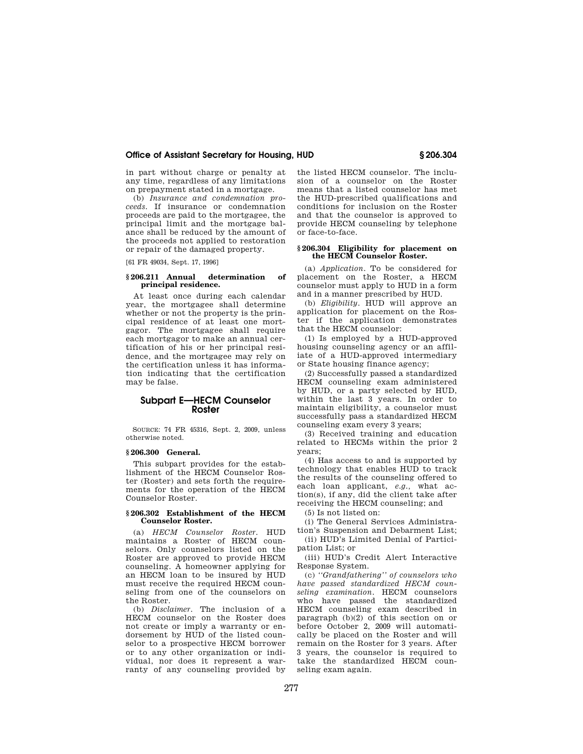in part without charge or penalty at any time, regardless of any limitations on prepayment stated in a mortgage.

(b) *Insurance and condemnation proceeds.* If insurance or condemnation proceeds are paid to the mortgagee, the principal limit and the mortgage balance shall be reduced by the amount of the proceeds not applied to restoration or repair of the damaged property.

[61 FR 49034, Sept. 17, 1996]

## **§ 206.211 Annual determination of principal residence.**

At least once during each calendar year, the mortgagee shall determine whether or not the property is the principal residence of at least one mortgagor. The mortgagee shall require each mortgagor to make an annual certification of his or her principal residence, and the mortgagee may rely on the certification unless it has information indicating that the certification may be false.

# **Subpart E—HECM Counselor Roster**

SOURCE: 74 FR 45316, Sept. 2, 2009, unless otherwise noted.

#### **§ 206.300 General.**

This subpart provides for the establishment of the HECM Counselor Roster (Roster) and sets forth the requirements for the operation of the HECM Counselor Roster.

#### **§ 206.302 Establishment of the HECM Counselor Roster.**

(a) *HECM Counselor Roster.* HUD maintains a Roster of HECM counselors. Only counselors listed on the Roster are approved to provide HECM counseling. A homeowner applying for an HECM loan to be insured by HUD must receive the required HECM counseling from one of the counselors on the Roster.

(b) *Disclaimer.* The inclusion of a HECM counselor on the Roster does not create or imply a warranty or endorsement by HUD of the listed counselor to a prospective HECM borrower or to any other organization or individual, nor does it represent a warranty of any counseling provided by the listed HECM counselor. The inclusion of a counselor on the Roster means that a listed counselor has met the HUD-prescribed qualifications and conditions for inclusion on the Roster and that the counselor is approved to provide HECM counseling by telephone or face-to-face.

#### **§ 206.304 Eligibility for placement on the HECM Counselor Roster.**

(a) *Application.* To be considered for placement on the Roster, a HECM counselor must apply to HUD in a form and in a manner prescribed by HUD.

(b) *Eligibility.* HUD will approve an application for placement on the Roster if the application demonstrates that the HECM counselor:

(1) Is employed by a HUD-approved housing counseling agency or an affiliate of a HUD-approved intermediary or State housing finance agency;

(2) Successfully passed a standardized HECM counseling exam administered by HUD, or a party selected by HUD, within the last 3 years. In order to maintain eligibility, a counselor must successfully pass a standardized HECM counseling exam every 3 years;

(3) Received training and education related to HECMs within the prior 2 years;

(4) Has access to and is supported by technology that enables HUD to track the results of the counseling offered to each loan applicant, *e.g.,* what action(s), if any, did the client take after receiving the HECM counseling; and

(5) Is not listed on:

(i) The General Services Administration's Suspension and Debarment List;

(ii) HUD's Limited Denial of Participation List; or

(iii) HUD's Credit Alert Interactive Response System.

(c) *''Grandfathering'' of counselors who have passed standardized HECM counseling examination.* HECM counselors who have passed the standardized HECM counseling exam described in paragraph (b)(2) of this section on or before October 2, 2009 will automatically be placed on the Roster and will remain on the Roster for 3 years. After 3 years, the counselor is required to take the standardized HECM counseling exam again.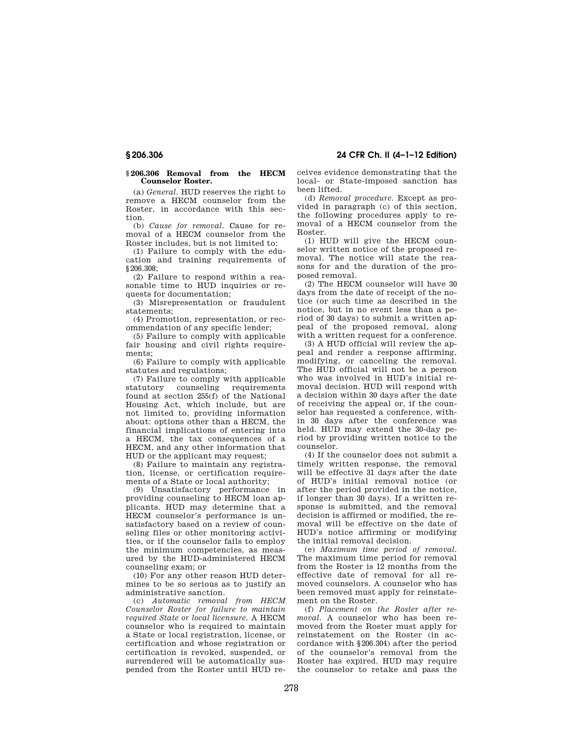#### **§ 206.306 Removal from the HECM Counselor Roster.**

(a) *General.* HUD reserves the right to remove a HECM counselor from the Roster, in accordance with this section.

(b) *Cause for removal.* Cause for removal of a HECM counselor from the Roster includes, but is not limited to:

(1) Failure to comply with the education and training requirements of §206.308;

(2) Failure to respond within a reasonable time to HUD inquiries or requests for documentation;

(3) Misrepresentation or fraudulent statements;

(4) Promotion, representation, or recommendation of any specific lender;

(5) Failure to comply with applicable fair housing and civil rights requirements;

(6) Failure to comply with applicable statutes and regulations;

(7) Failure to comply with applicable requirements found at section 255(f) of the National Housing Act, which include, but are not limited to, providing information about: options other than a HECM, the financial implications of entering into a HECM, the tax consequences of a HECM, and any other information that HUD or the applicant may request;

(8) Failure to maintain any registration, license, or certification requirements of a State or local authority;

(9) Unsatisfactory performance in providing counseling to HECM loan applicants. HUD may determine that a HECM counselor's performance is unsatisfactory based on a review of counseling files or other monitoring activities, or if the counselor fails to employ the minimum competencies, as measured by the HUD-administered HECM counseling exam; or

(10) For any other reason HUD determines to be so serious as to justify an administrative sanction.

(c) *Automatic removal from HECM Counselor Roster for failure to maintain required State or local licensure.* A HECM counselor who is required to maintain a State or local registration, license, or certification and whose registration or certification is revoked, suspended, or surrendered will be automatically suspended from the Roster until HUD receives evidence demonstrating that the local- or State-imposed sanction has been lifted.

(d) *Removal procedure.* Except as provided in paragraph (c) of this section, the following procedures apply to removal of a HECM counselor from the Roster.

(1) HUD will give the HECM counselor written notice of the proposed removal. The notice will state the reasons for and the duration of the proposed removal.

(2) The HECM counselor will have 30 days from the date of receipt of the notice (or such time as described in the notice, but in no event less than a period of 30 days) to submit a written appeal of the proposed removal, along with a written request for a conference.

(3) A HUD official will review the appeal and render a response affirming, modifying, or canceling the removal. The HUD official will not be a person who was involved in HUD's initial removal decision. HUD will respond with a decision within 30 days after the date of receiving the appeal or, if the counselor has requested a conference, within 30 days after the conference was held. HUD may extend the 30-day period by providing written notice to the counselor.

(4) If the counselor does not submit a timely written response, the removal will be effective 31 days after the date of HUD's initial removal notice (or after the period provided in the notice, if longer than 30 days). If a written response is submitted, and the removal decision is affirmed or modified, the removal will be effective on the date of HUD's notice affirming or modifying the initial removal decision.

(e) *Maximum time period of removal.*  The maximum time period for removal from the Roster is 12 months from the effective date of removal for all removed counselors. A counselor who has been removed must apply for reinstatement on the Roster.

(f) *Placement on the Roster after removal.* A counselor who has been removed from the Roster must apply for reinstatement on the Roster (in accordance with §206.304) after the period of the counselor's removal from the Roster has expired. HUD may require the counselor to retake and pass the